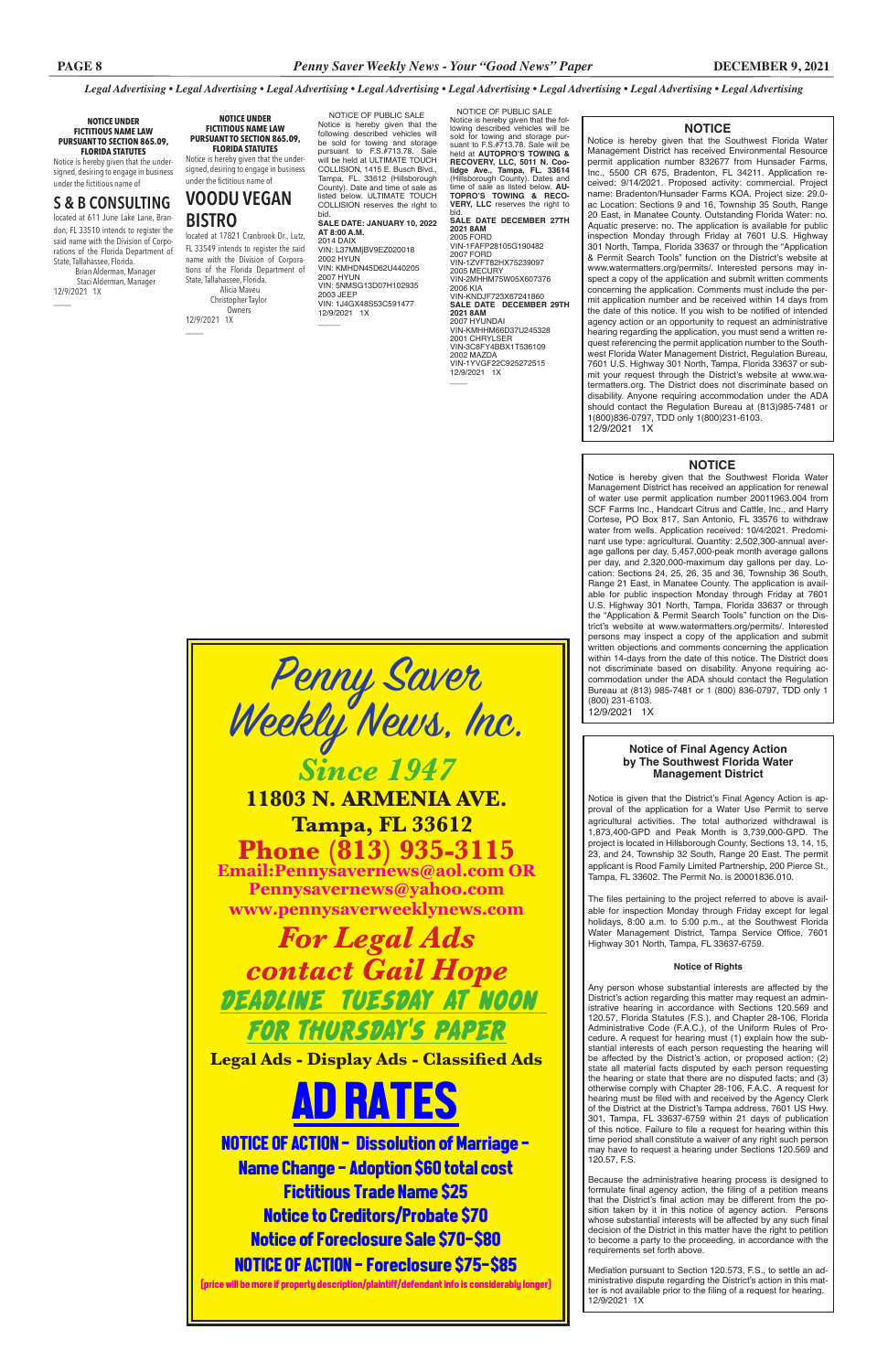#### **NOTICE**

Notice is hereby given that the Southwest Florida Water Management District has received Environmental Resource permit application number 832677 from Hunsader Farms, Inc., 5500 CR 675, Bradenton, FL 34211. Application received: 9/14/2021. Proposed activity: commercial. Project name: Bradenton/Hunsader Farms KOA. Project size: 29.0 ac Location: Sections 9 and 16, Township 35 South, Range 20 East, in Manatee County. Outstanding Florida Water: no. Aquatic preserve: no. The application is available for public inspection Monday through Friday at 7601 U.S. Highway 301 North, Tampa, Florida 33637 or through the "Application & Permit Search Tools" function on the District's website at www.watermatters.org/permits/. Interested persons may inspect a copy of the application and submit written comments concerning the application. Comments must include the permit application number and be received within 14 days from the date of this notice. If you wish to be notified of intended agency action or an opportunity to request an administrative hearing regarding the application, you must send a written request referencing the permit application number to the Southwest Florida Water Management District, Regulation Bureau, 7601 U.S. Highway 301 North, Tampa, Florida 33637 or submit your request through the District's website at www.watermatters.org. The District does not discriminate based on disability. Anyone requiring accommodation under the ADA should contact the Regulation Bureau at (813)985-7481 or 1(800)836-0797, TDD only 1(800)231-6103.

12/9/2021 1X

#### **NOTICE**

Notice is hereby given that the Southwest Florida Water Management District has received an application for renewal of water use permit application number 20011963.004 from SCF Farms Inc., Handcart Citrus and Cattle, Inc., and Harry Cortese, PO Box 817, San Antonio, FL 33576 to withdraw water from wells. Application received: 10/4/2021. Predominant use type: agricultural. Quantity: 2,502,300-annual average gallons per day, 5,457,000-peak month average gallons per day, and 2,320,000-maximum day gallons per day. Location: Sections 24, 25, 26, 35 and 36, Township 36 South, Range 21 East, in Manatee County. The application is available for public inspection Monday through Friday at 7601 U.S. Highway 301 North, Tampa, Florida 33637 or through the "Application & Permit Search Tools" function on the District's website at www.watermatters.org/permits/. Interested persons may inspect a copy of the application and submit written objections and comments concerning the application within 14-days from the date of this notice. The District does not discriminate based on disability. Anyone requiring accommodation under the ADA should contact the Regulation Bureau at (813) 985-7481 or 1 (800) 836-0797, TDD only 1 (800) 231-6103. 12/9/2021 1X

 NOTICE OF PUBLIC SALE Notice is hereby given that the fol-lowing described vehicles will be sold for towing and storage pur-suant to F.S.#713.78. Sale will be held at **AUTOPRO'S TOWING & RECOVERY, LLC, 5011 N. Coolidge Ave., Tampa, FL. 33614**<br>(Hillsborough County). Dates and<br>**time of sale as listed below. <b>AU-**<br>**TOPRO'S TOWING & RECO-<br>VERY, LLC** reserves the right to

bid. **SALE DATE DECEMBER 27TH 2021 8AM** 2005 FORD VIN-1FAFP28105G190482 2007 FORD VIN-1ZVFT82HX75239097 2005 MECURY VIN-2MHHM75W05X607376 2006 KIA<br>VIN-KNDJF723X67241860 **SALE DATE DECEMBER 29TH 2021 8AM** 2007 HYUNDAI<br>VIN-KMHHM66D37U245328 2001 CHRYLSER VIN-3C8FY4BBX1T536109 2002 MAZDA VIN-1YVGF22C925272515 12/9/2021 1X  $\overline{\phantom{a}}$ 

### **Notice of Final Agency Action by The Southwest Florida Water Management District**

Notice is given that the District's Final Agency Action is approval of the application for a Water Use Permit to serve agricultural activities. The total authorized withdrawal is 1,873,400-GPD and Peak Month is 3,739,000-GPD. The project is located in Hillsborough County, Sections 13, 14, 15, 23, and 24, Township 32 South, Range 20 East. The permit applicant is Rood Family Limited Partnership, 200 Pierce St., Tampa, FL 33602. The Permit No. is 20001836.010.

VIN: 5NMSG13D07H102935 2003 JEEP VIN: 1J4GX48S53C591477 12/9/2021 1X  $\overline{\phantom{a}}$ 

> The files pertaining to the project referred to above is available for inspection Monday through Friday except for legal holidays, 8:00 a.m. to 5:00 p.m., at the Southwest Florida Water Management District, Tampa Service Office, 7601 Highway 301 North, Tampa, FL 33637-6759.

located at 17821 Cranbrook Dr., Lutz, FL 33549 intends to register the said name with the Division of Corporations of the Florida Department of State, Tallahassee, Florida. Alicia Maveu Christopher Taylor Owners 12/9/2021 1X  $\overline{\phantom{a}}$ 

#### **Notice of Rights**

Any person whose substantial interests are affected by the District's action regarding this matter may request an adminiearing in accordance with Sections 120.57, Florida Statutes (F.S.), and Chapter 28-106, Florida Administrative Code (F.A.C.), of the Uniform Rules of Procedure. A request for hearing must (1) explain how the substantial interests of each person requesting the hearing will be affected by the District's action, or proposed action; (2) state all material facts disputed by each person requesting the hearing or state that there are no disputed facts; and (3) otherwise comply with Chapter 28-106, F.A.C. A request for hearing must be filed with and received by the Agency Clerk of the District at the District's Tampa address, 7601 US Hwy. 301, Tampa, FL 33637-6759 within 21 days of publication of this notice. Failure to file a request for hearing within this time period shall constitute a waiver of any right such person may have to request a hearing under Sections 120.569 and 120.57, F.S.

Because the administrative hearing process is designed to formulate final agency action, the filing of a petition means that the District's final action may be different from the position taken by it in this notice of agency action. Persons whose substantial interests will be affected by any such final decision of the District in this matter have the right to petition to become a party to the proceeding, in accordance with the requirements set forth above.

Mediation pursuant to Section 120.573, F.S., to settle an administrative dispute regarding the District's action in this matter is not available prior to the filing of a request for hearing. 12/9/2021 1X

 NOTICE OF PUBLIC SALE Notice is hereby given that the following described vehicles will be sold for towing and storage pursuant to F.S.#713.78. Sale will be held at ULTIMATE TOUCH COLLISION, 1415 E. Busch Blvd., Tampa, FL. 33612 (Hillsborough County). Date and time of sale as listed below. ULTIMATE TOUCH COLLISION reserves the right to bid. **SALE DATE: JANUARY 10, 2022** 

**AT 8:00 A.M.** 2014 DAIX VIN: L37MMjBV9EZ020018 2002 HYUN VIN: KMHDN45D62U440205 2007 HYUN

**NOTICE UNDER FICTITIOUS NAME LAW PURSUANT TO SECTION 865.09, FLORIDA STATUTES**

Notice is hereby given that the undersigned, desiring to engage in business under the fictitious name of

# **S & B CONSULTING**

located at 611 June Lake Lane, Brandon, FL 33510 intends to register the said name with the Division of Corporations of the Florida Department of State, Tallahassee, Florida. Brian Alderman, Manager Staci Alderman, Manager

12/9/2021 1X

 $\overline{\phantom{a}}$ 

#### **NOTICE UNDER FICTITIOUS NAME LAW PURSUANT TO SECTION 865.09, FLORIDA STATUTES**

Notice is hereby given that the undersigned, desiring to engage in business under the fictitious name of

## **VOODU VEGAN BISTRO**





*Legal Advertising • Legal Advertising • Legal Advertising • Legal Advertising • Legal Advertising • Legal Advertising • Legal Advertising • Legal Advertising*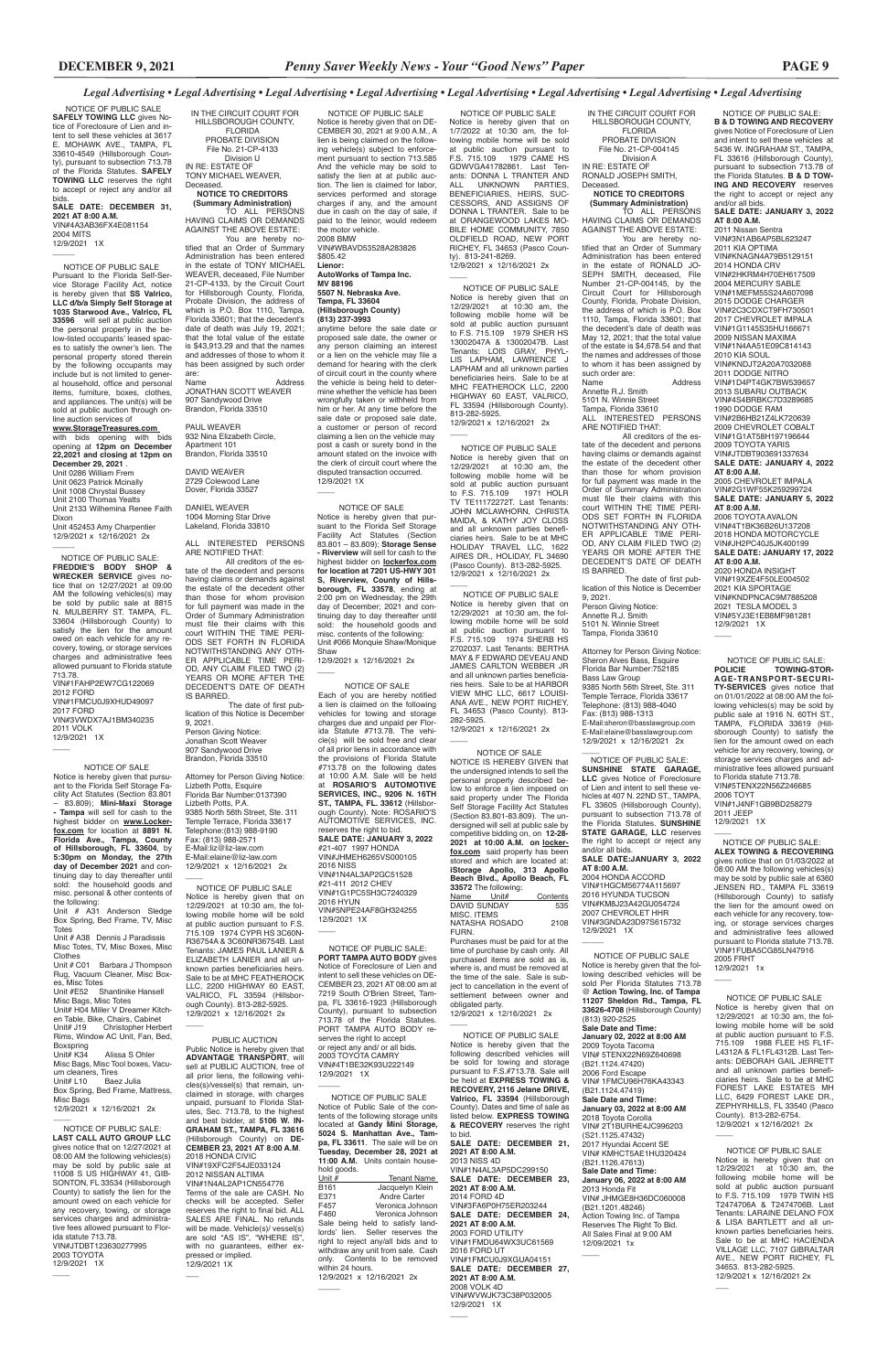sell at PUBLIC AUCTION, free of all prior liens, the following vehicles(s)/vessel(s) that remain, unclaimed in storage, with charges unpaid, pursuant to Florida Statutes, Sec. 713.78, to the highest and best bidder, at **5106 W. IN-GRAHAM ST., TAMPA, FL 33616** (Hillsborough County) on **DE-CEMBER 23, 2021 AT 8:00 A.M**. 2018 HONDA CIVIC VIN#19XFC2F54JE033124 2012 NISSAN ALTIMA VIN#1N4AL2AP1CN554776 Terms of the sale are CASH. No checks will be accepted. Seller reserves the right to final bid. ALL SALES ARE FINAL. No refunds will be made. Vehicle(s)/ vessel(s) are sold "AS IS", "WHERE IS", with no guarantees, either expressed or implied. .<br>12/9/2021 1X

 $\overline{\phantom{a}}$ 

### PUBLIC AUCTION Public Notice is hereby given that **ADVANTAGE TRANSPORT**, will

Each of you are hereby notified a lien is claimed on the following vehicles for towing and storage charges due and unpaid per Florida Statute #713.78. The vehicle(s) will be sold free and clear of all prior liens in accordance with the provisions of Florida Statute #713.78 on the following dates at 10:00 A.M. Sale will be held at **ROSARIO'S AUTOMOTIVE SERVICES, INC., 9206 N. 16TH ST., TAMPA, FL. 33612** (Hillsborough County). Note: ROSARIO'S AUTOMOTIVE SERVICES, INC. reserves the right to bid. **SALE DATE: JANUARY 3, 2022** #21-407 1997 HONDA VIN#JHMEH6265VS000105 2016 NISS VIN#1N4AL3AP2GC51528 #21-411 2012 CHEV VIN#1G1PC5SH3C7240329 2016 HYUN VIN#5NPE24AF8GH324255 12/9/2021 1X  $\overline{\phantom{a}}$ 

#### NOTICE OF SALE

2020 HONDA INSIGHT VIN#19XZE4F50LE004502 2021 KIA SPORTAGE VIN#KNDPNCAC9M7885208 2021 TESLA MODEL 3 VIN#5YJ3E1EB8MF981281 12/9/2021 1X  $\overline{\phantom{a}}$ 

 NOTICE OF PUBLIC SALE: **B & D TOWING AND RECOVERY**  gives Notice of Foreclosure of Lien and intent to sell these vehicles at 5436 W. INGRAHAM ST., TAMPA, FL 33616 (Hillsborough County), pursuant to subsection 713.78 of the Florida Statutes. **B & D TOW-ING AND RECOVERY** reserves the right to accept or reject any and/or all bids. **SALE DATE: JANUARY 3, 2022 AT 8:00 A.M.** 2011 Nissan Sentra

You are hereby notified that an Order of Summary Administration has been entered in the estate of RONALD JO-SEPH SMITH, deceased, File Number 21-CP-004145, by the Circuit Court for Hillsborough County, Florida, Probate Division, the address of which is P.O. Box 1110, Tampa, Florida 33601; that the decedent's date of death was May 12, 2021; that the total value of the estate is \$4,678.54 and that the names and addresses of those to whom it has been assigned by such order are:<br>Name Address

VIN#3N1AB6AP5BL623247 2011 KIA OPTIMA VIN#KNAGN4A79B5129151 2014 HONDA CRV VIN#2HKRM4H70EH617509 2004 MERCURY SABLE VIN#1MEFM55S24A607098 2015 DODGE CHARGER VIN#2C3CDXCT9FH730501 2017 CHEVROLET IMPALA VIN#1G1145S35HU166671 2009 NISSAN MAXIMA VIN#1N4AA51E09C814143 2010 KIA SOUL VIN#KNDJT2A20A7032088 2011 DODGE NITRO VIN#1D4PT4GK7BW539657 2013 SUBARU OUTBACK VIN#4S4BRBKC7D3289685 1990 DODGE RAM VIN#2B6HB21Z4LK720639 2009 CHEVROLET COBALT VIN#1G1AT58H197196644 2009 TOYOTA YARIS VIN#JTDBT903691337634 **SALE DATE: JANUARY 4, 2022 AT 8:00 A.M.** 2005 CHEVROLET IMPALA VIN#2G1WF55K259299724 **SALE DATE: JANUARY 5, 2022 AT 8:00 A.M.** 2006 TOYOTA AVALON VIN#4T1BK36B26U137208 2018 HONDA MOTORCYCLE VIN#JH2PC40J5JK400199 **SALE DATE: JANUARY 17, 2022 AT 8:00 A.M.**

Attorney for Person Giving Notice: Sheron Alves Bass, Esquire Florida Bar Number:752185 Bass Law Group 9385 North 56th Street, Ste. 311 Temple Terrace, Florida 33617 Telephone: (813) 988-4040 Fax: (813) 988-1313 E-Mail:sheron@basslawgroup.com E-Mail:elaine@basslawgroup.com 12/9/2021 x 12/16/2021 2x  $\overline{\phantom{a}}$ 

 NOTICE OF PUBLIC SALE: **SUNSHINE STATE GARAGE, LLC** gives Notice of Foreclosure of Lien and intent to sell these vehicles at 407 N. 22ND ST., TAMPA, FL 33605 (Hillsborough County) pursuant to subsection 713.78 of the Florida Statutes. **SUNSHINE STATE GARAGE, LLC** reserves the right to accept or reject any and/or all bids. **SALE DATE:JANUARY 3, 2022 AT 8:00 A.M.** 2004 HONDA ACCORD

NOTICE OF PUBLIC SALE:<br>POLICIE TOWING-STO **POLICIE TOWING-STOR-AGE-TRANSPORT-SECURI-TY-SERVICES** gives notice that on 01/01/2022 at 08:00 AM the following vehicles(s) may be sold by public sale at 1916 N. 60TH ST., TAMPA, FLORIDA 33619 (Hillsborough County) to satisfy the lien for the amount owed on each vehicle for any recovery, towing, or storage services charges and administrative fees allowed pursuant to Florida statute 713.78. VIN#5TENX22N56Z246685 2006 TOYT VIN#1J4NF1GB9BD258279 2011 JEEP 12/9/2021 1X

VIN#1HGCM56774A115697 2016 HYUNDA TUCSON VIN#KM8J23A42GU054724 2007 CHEVROLET HHR VIN#3GNDA23D97S615732 12/9/2021 1X

 $\overline{\phantom{a}}$ 

 $\overline{\phantom{a}}$ 

 $\overline{\phantom{a}}$  NOTICE OF PUBLIC SALE: **ALEX TOWING & RECOVERING**  gives notice that on 01/03/2022 at 08:00 AM the following vehicles(s) may be sold by public sale at 6360 JENSEN RD., TAMPA FL 33619 (Hillsborough County) to satisfy the lien for the amount owed on each vehicle for any recovery, towing, or storage services charges and administrative fees allowed pursuant to Florida statute 713.78. .<br>VIN#1FUBA5CG85LN47916 2005 FRHT

12/9/2021 1x  $\overline{\phantom{a}}$ 

 NOTICE OF PUBLIC SALE Notice is hereby given that on 1/7/2022 at 10:30 am, the following mobile home will be sold at public auction pursuant to F.S. 715.109 1979 CAME HS GDWVGA41782861. Last Tenants: DONNA L TRANTER AND UNKNOWN PARTIES, BENEFICIARIES, HEIRS, SUC-CESSORS, AND ASSIGNS OF DONNA L TRANTER. Sale to be at ORANGEWOOD LAKES MO-BILE HOME COMMUNITY, 7850 OLDFIELD ROAD, NEW PORT RICHEY, FL 34653 (Pasco County). 813-241-8269. 12/9/2021 x 12/16/2021 2x  $\overline{\phantom{a}}$ 

> NOTICE OF PUBLIC SALE Notice is hereby given that on 12/29/2021 at 10:30 am, the following mobile home will be sold at public auction pursuant to F.S. 715.109 1988 FLEE HS FL1F-L4312A & FL1FL4312B. Last Tenants: DEBORAH GAIL JERRETT and all unknown parties beneficiaries heirs. Sale to be at MHC FOREST LAKE ESTATES MH LLC, 6429 FOREST LAKE DR., ZEPHYRHILLS, FL 33540 (Pasco County). 813-282-6754. 12/9/2021 x 12/16/2021 2x  $\overline{\phantom{a}}$

NOTICE OF PUBLIC SALE Notice is hereby given that the following described vehicles will be sold Per Florida Statutes 713.78 @ **Action Towing, Inc. of Tampa 11207 Sheldon Rd., Tampa, FL 33626-4708** (Hillsborough County) (813) 920-2525 **Sale Date and Time: January 02, 2022 at 8:00 AM** 2009 Toyota Tacoma VIN# 5TENX22N69Z640698 (B21.1124.47420) 2006 Ford Escape VIN# 1FMCU96H76KA43343 (B21.1124.47419) **Sale Date and Time: January 03, 2022 at 8:00 AM** 2018 Toyota Corolla VIN# 2T1BURHE4JC996203 (S21.1125.47432) 2017 Hyundai Accent SE VIN# KMHCT5AE1HU320424 (B21.1126.47613) **Sale Date and Time: January 06, 2022 at 8:00 AM** 2013 Honda Fit VIN# JHMGE8H36DC060008 (B21.1201.48246) Action Towing Inc. of Tampa Reserves The Right To Bid. All Sales Final at 9:00 AM 12/09/2021 1x

IN THE CIRCUIT COURT FOR HILLSBOROUGH COUNTY, FLORIDA PROBATE DIVISION File No. 21-CP-004145 Division A

IN RE: ESTATE OF RONALD JOSEPH SMITH, Deceased **NOTICE TO CREDITORS** 

### **(Summary Administration)**

TO ALL PERSONS HAVING CLAIMS OR DEMANDS AGAINST THE ABOVE ESTATE:

NOTICE OF SALE NOTICE IS HEREBY GIVEN that the undersigned intends to sell the personal property described below to enforce a lien imposed on said property under The Florida Self Storage Facility Act Statutes (Section 83.801-83.809). The undersigned will sell at public sale by competitive bidding on, on **12-28- 2021 at 10:00 A.M. on lockerfox.com** said property has been stored and which are located at: **iStorage Apollo, 313 Apollo Beach Blvd., Apollo Beach, FL 33572** The following:<br>Name Unit# Name Unit# Contents DAVID SUNDAY 535 MISC. ITEMS NATASHA ROSADO 2108

Annette R.J. Smith 5101 N. Winnie Street Tampa, Florida 33610 ALL INTERESTED PERSONS ARE NOTIFIED THAT:

12/9/2021 x 12/16/2021 2x  $\overline{\phantom{a}}$ 

All creditors of the estate of the decedent and persons having claims or demands against the estate of the decedent other than those for whom provision for full payment was made in the Order of Summary Administration must file their claims with this court WITHIN THE TIME PERI-ODS SET FORTH IN FLORIDA NOTWITHSTANDING ANY OTH-ER APPLICABLE TIME PERI-OD, ANY CLAIM FILED TWO (2) **YEARS OR MORE AFTER THE** DECEDENT'S DATE OF DEATH IS BARRED.

12/9/2021 x 12/16/2021 2x  $\overline{\phantom{a}}$ 

 The date of first publication of this Notice is December 9, 2021.

Person Giving Notice: Annette R.J. Smith 5101 N. Winnie Street Tampa, Florida 33610

You are hereby notified that an Order of Summary Administration has been entered in the estate of TONY MICHAEL WEAVER, deceased, File Number 21-CP-4133, by the Circuit Court for Hillsborough County, Florida, Probate Division, the address of which is P.O. Box 1110, Tampa, Florida 33601; that the decedent's date of death was July 19, 2021; that the total value of the estate is \$43,913.29 and that the names and addresses of those to whom it has been assigned by such order are:<br>Name

Name **Address** JONATHAN SCOTT WEAVER 907 Sandywood Drive Brandon, Florida 33510

Attorney for Person Giving Notice: Lizbeth Potts, Esquire Florida Bar Number:0137390 Lizbeth Potts, P.A. 9385 North 56th Street, Ste. 311 Temple Terrace, Florida 33617 Telephone:(813) 988-9190 Fax: (813) 988-2571 E-Mail:liz@liz-law.com E-Mail:elaine@liz-law.com 12/9/2021 x 12/16/2021 2x  $\overline{\phantom{a}}$ 

Shantinike Hansell Misc Bags, Misc Totes

NOTICE OF PUBLIC SALE

Notice is hereby given that on 12/29/2021 at 10:30 am, the following mobile home will be sold at public auction pursuant to F.S. 715.109 1979 TWIN HS T2474706A & T2474706B. Last Tenants: LARAINE DELANO FOX & LISA BARTLETT and all unknown parties beneficiaries heirs. Sale to be at MHC HACIENDA VILLAGE LLC, 7107 GIBRALTAR AVE., NEW PORT RICHEY, FL 34653. 813-282-5925. 12/9/2021 x 12/16/2021 2x

\_\_\_

 NOTICE OF PUBLIC SALE Notice is hereby given that on 12/29/2021 at 10:30 am, the following mobile home will be sold at public auction pursuant to F.S. 715.109 1979 SHER HS 13002047A & 13002047B. Last Tenants: LOIS GRAY, PHYL-LIS LAPHAM, LAWRENCE J LAPHAM and all unknown parties beneficiaries heirs. Sale to be at MHC FEATHEROCK LLC, 2200 HIGHWAY 60 EAST, VALRICO, FL 33594 (Hillsborough County). 813-282-5925. 12/9/2021 x 12/16/2021 2x

 $\overline{\phantom{a}}$ 

2004 MITS 12/9/2021 1X  $\overline{\phantom{a}}$ 

> NOTICE OF PUBLIC SALE Notice is hereby given that on 12/29/2021 at 10:30 am, the following mobile home will be sold at public auction pursuant to F.S. 715.109 1971 HOLR TV TE11172272T. Last Tenants: JOHN MCLAWHORN, CHRISTA MAIDA, & KATHY JOY CLOSS and all unknown parties beneficiaries heirs. Sale to be at MHC HOLIDAY TRAVEL LLC, 1622 AIRES DR., HOLIDAY, FL 34690 (Pasco County). 813-282-5925. 12/9/2021 x 12/16/2021 2x

 $\overline{\phantom{a}}$ 

- 2011 VOLK
- 12/9/2021 1X  $\overline{\phantom{a}}$

 NOTICE OF PUBLIC SALE Notice is hereby given that on 12/29/2021 at 10:30 am, the following mobile home will be sold at public auction pursuant to F.S. 715.109 1974 SHERB HS 2702037. Last Tenants: BERTHA MAY & F EDWARD DEVEAU AND JAMES CARLTON WEBBER JR and all unknown parties beneficiaries heirs. Sale to be at HARBOR VIEW MHC LLC, 6617 LOUISI-ANA AVE., NEW PORT RICHEY, FL 34653 (Pasco County). 813- 282-5925. 12/9/2021 x 12/16/2021 2x

 $\overline{\phantom{a}}$ 

 NOTICE OF PUBLIC SALE Notice of Public Sale of the contents of the following storage units located at **Gandy Mini Storage, 5024 S. Manhattan Ave., Tampa, FL 33611**. The sale will be on **Tuesday, December 28, 2021 at 11:00 A.M.** Units contain household goods.<br>Unit #

 $\overline{\phantom{a}}$ 

 $\overline{\phantom{a}}$ 

 $Unit # Tenant Name  
\nB161 Jacauelvn Klein$ </u> B161 Jacquelyn Klein<br>E371 Andre Carter E371 Andre Carter<br>F457 Veronica John F457 Veronica Johnson Veronica Johnson Sale being held to satisfy landlords' lien. Seller reserves the right to reject any/all bids and to withdraw any unit from sale. Cash only. Contents to be removed within 24 hours. 12/9/2021 x 12/16/2021 2x

FURN. Purchases must be paid for at the time of purchase by cash only. All

purchased items are sold as is, where is, and must be removed at the time of the sale. Sale is subject to cancellation in the event of settlement between owner and obligated party.

 NOTICE OF PUBLIC SALE Notice is hereby given that on 12/29/2021 at 10:30 am, the following mobile home will be sold at public auction pursuant to F.S. 715.109 1974 CYPR HS 3C60N-R36754A & 3C60NR36754B. Last Tenants: JAMES PAUL LANIER & ELIZABETH LANIER and all unknown parties beneficiaries heirs. Sale to be at MHC FEATHEROCK LLC, 2200 HIGHWAY 60 EAST, VALRICO, FL 33594 (Hillsborough County). 813-282-5925.

 NOTICE OF PUBLIC SALE Notice is hereby given that on DE-CEMBER 30, 2021 at 9:00 A.M., A lien is being claimed on the following vehicle(s) subject to enforcement pursuant to section 713.585 And the vehicle may be sold to satisfy the lien at at public auction. The lien is claimed for labor, services performed and storage charges if any, and the amount due in cash on the day of sale, if paid to the leinor, would redeem the motor vehicle. 2008 BMW VIN#WBAVD53528A283826

\$805.42 **Lienor: AutoWorks of Tampa Inc. MV 88196 5507 N. Nebraska Ave. Tampa, FL 33604 (Hillsborough County) (813) 237-3993**

anytime before the sale date or proposed sale date, the owner or any person claiming an interest or a lien on the vehicle may file a demand for hearing with the clerk of circuit court in the county where the vehicle is being held to determine whether the vehicle has been wrongfully taken or withheld from him or her. At any time before the sale date or proposed sale date, a customer or person of record claiming a lien on the vehicle may post a cash or surety bond in the amount stated on the invoice with the clerk of circuit court where the disputed transaction occurred. 12/9/2021 1X

NOTICE OF SALE

 $\overline{\phantom{a}}$ 

 $\overline{\phantom{a}}$ 

Notice is hereby given that pursuant to the Florida Self Storage Facility Act Statutes (Section 83.801 – 83.809); **Storage Sense - Riverview** will sell for cash to the highest bidder on **lockerfox.com for location at 7201 US-HWY 301 S, Riverview, County of Hillsborough, FL 33578**, ending at 2:00 pm on Wednesday, the 29th day of December; 2021 and continuing day to day thereafter until<br>sold: the household goods and the household goods and misc. contents of the following: Unit #066 Monquie Shaw/Monique Shaw

12/9/2021 x 12/16/2021 2x

IN THE CIRCUIT COURT FOR HILLSBOROUGH COUNTY, FLORIDA PROBATE DIVISION File No. 21-CP-4133 Division U IN RE: ESTATE OF TONY MICHAEL WEAVER, Deceased.

#### **NOTICE TO CREDITORS (Summary Administration)**

TO ALL PERSONS HAVING CLAIMS OR DEMANDS AGAINST THE ABOVE ESTATE:

PAUL WEAVER 932 Nina Elizabeth Circle,

Apartment 101 Brandon, Florida 33510

DAVID WEAVER 2729 Colewood Lane Dover, Florida 33527

DANIEL WEAVER 1004 Morning Star Drive Lakeland, Florida 33810

ALL INTERESTED PERSONS ARE NOTIFIED THAT:

All creditors of the estate of the decedent and persons having claims or demands against the estate of the decedent other than those for whom provision for full payment was made in the Order of Summary Administration must file their claims with this court WITHIN THE TIME PERI-ODS SET FORTH IN FLORIDA NOTWITHSTANDING ANY OTH-ER APPLICABLE TIME PERI-OD, ANY CLAIM FILED TWO (2) YEARS OR MORE AFTER THE DECEDENT'S DATE OF DEATH IS BARRED.

 The date of first publication of this Notice is December 9, 2021. Person Giving Notice: Jonathan Scott Weaver 907 Sandywood Drive Brandon, Florida 33510

#### NOTICE OF SALE

Notice is hereby given that pursuant to the Florida Self Storage Facility Act Statutes (Section 83.801 – 83.809); **Mini-Maxi Storage - Tampa** will sell for cash to the highest bidder on **www.Lockerfox.com** for location at **8891 N. Florida Ave., Tampa, County of Hillsborough, FL 33604**, by **5:30pm on Monday, the 27th day of December 2021** and continuing day to day thereafter until sold: the household goods and misc. personal & other contents of the following:

Unit # A31 Anderson Sledge Box Spring, Bed Frame, TV, Misc Totes

Unit # A38 Dennis J Paradissis Misc Totes, TV, Misc Boxes, Misc Clothes

Unit # C01 Barbara J Thompson Rug, Vacuum Cleaner, Misc Boxes, Misc Totes<br>Unit #E52 S

Unit# H04 Miller V Dreamer Kitchen Table, Bike, Chairs, Cabinet<br>Unit# J19 Christopher Herb Christopher Herbert Rims, Window AC Unit, Fan, Bed, Boxspring<br>Unit# K34 Alissa S Ohler Misc Bags, Misc Tool boxes, Vacuum cleaners, Tires Unit# L10 Baez Julia Box Spring, Bed Frame, Mattress, Misc Bags 12/9/2021 x 12/16/2021 2x

 $\overline{\phantom{a}}$ 

 $\overline{\phantom{a}}$ 

 NOTICE OF PUBLIC SALE Notice is hereby given that the following described vehicles will be sold for towing and storage pursuant to F.S.#713.78. Sale will be held at **EXPRESS TOWING & RECOVERY, 2116 Jelane DRIVE, Valrico, FL 33594** (Hillsborough County). Dates and time of sale as listed below. **EXPRESS TOWING & RECOVERY** reserves the right to bid. **SALE DATE: DECEMBER 21, 2021 AT 8:00 A.M.** 2013 NISS 4D VIN#1N4AL3AP5DC299150 **SALE DATE: DECEMBER 23, 2021 AT 8:00 A.M.** 2014 FORD 4D VIN#3FA6P0H75ER203244 **SALE DATE: DECEMBER 24, 2021 AT 8:00 A.M.** 2003 FORD UTILITY VIN#1FMDU64WX3UC61569 2016 FORD UT VIN#1FMCU0J9XGUA04151

**SALE DATE: DECEMBER 27, 2021 AT 8:00 A.M.**

2008 VOLK 4D VIN#WVWJK73C38P032005 12/9/2021 1X

 $\overline{\phantom{a}}$ 

 NOTICE OF PUBLIC SALE: **PORT TAMPA AUTO BODY** gives Notice of Foreclosure of Lien and intent to sell these vehicles on DE-CEMBER 23, 2021 AT 08:00 am at 7219 South O'Brien Street, Tampa, FL 33616-1923 (Hillsborough County), pursuant to subsection 713.78 of the Florida Statutes. PORT TAMPA AUTO BODY reserves the right to accept or reject any and/ or all bids. 2003 TOYOTA CAMRY VIN#4T1BE32K93U222149 12/9/2021 1X

 NOTICE OF PUBLIC SALE **SAFELY TOWING LLC** gives Notice of Foreclosure of Lien and intent to sell these vehicles at 3617 E. MOHAWK AVE., TAMPA, FL 33610-4549 (Hillsborough County), pursuant to subsection 713.78 of the Florida Statutes. **SAFELY TOWING LLC** reserves the right to accept or reject any and/or all bids.

#### **SALE DATE: DECEMBER 31, 2021 AT 8:00 A.M.** VIN#4A3AB36FX4E081154

 NOTICE OF PUBLIC SALE Pursuant to the Florida Self-Service Storage Facility Act, notice is hereby given that **SS Valrico, LLC d/b/a Simply Self Storage at 1035 Starwood Ave., Valrico, FL 33596** will sell at public auction the personal property in the below-listed occupants' leased spaces to satisfy the owner's lien. The personal property stored therein by the following occupants may include but is not limited to general household, office and personal items, furniture, boxes, clothes, and appliances. The unit(s) will be sold at public auction through online auction services of

#### **www.StorageTreasures.com**  with bids opening with bids opening at **12pm on December 22,2021 and closing at 12pm on December 29, 2021** .

Unit 0286 William Frem Unit 0623 Patrick Mcinally Unit 1008 Chrystal Bussey Unit 2100 Thomas Yeatts Unit 2133 Wilhemina Renee Faith Dixon

Unit 452453 Amy Charpentier 12/9/2021 x 12/16/2021 2x

\_\_\_\_\_ NOTICE OF PUBLIC SALE: **FREDDIE'S BODY SHOP & WRECKER SERVICE** gives notice that on 12/27/2021 at 09:00 AM the following vehicles(s) may be sold by public sale at 8815 N. MULBERRY ST. TAMPA, FL. 33604 (Hillsborough County) to satisfy the lien for the amount owed on each vehicle for any recovery, towing, or storage services charges and administrative fees allowed pursuant to Florida statute 713.78. VIN#1FAHP2EW7CG122069 2012 FORD VIN#1FMCU0J9XHUD49097 2017 FORD VIN#3VWDX7AJ1BM340235

 NOTICE OF PUBLIC SALE: **LAST CALL AUTO GROUP LLC**  gives notice that on 12/27/2021 at 08:00 AM the following vehicles(s) may be sold by public sale at 11008 S US HIGHWAY 41, GIB-SONTON, FL 33534 (Hillsborough County) to satisfy the lien for the amount owed on each vehicle for any recovery, towing, or storage services charges and administrative fees allowed pursuant to Florida statute 713.78. VIN#JTDBT123630277995 2003 TOYOTA 12/9/2021 1X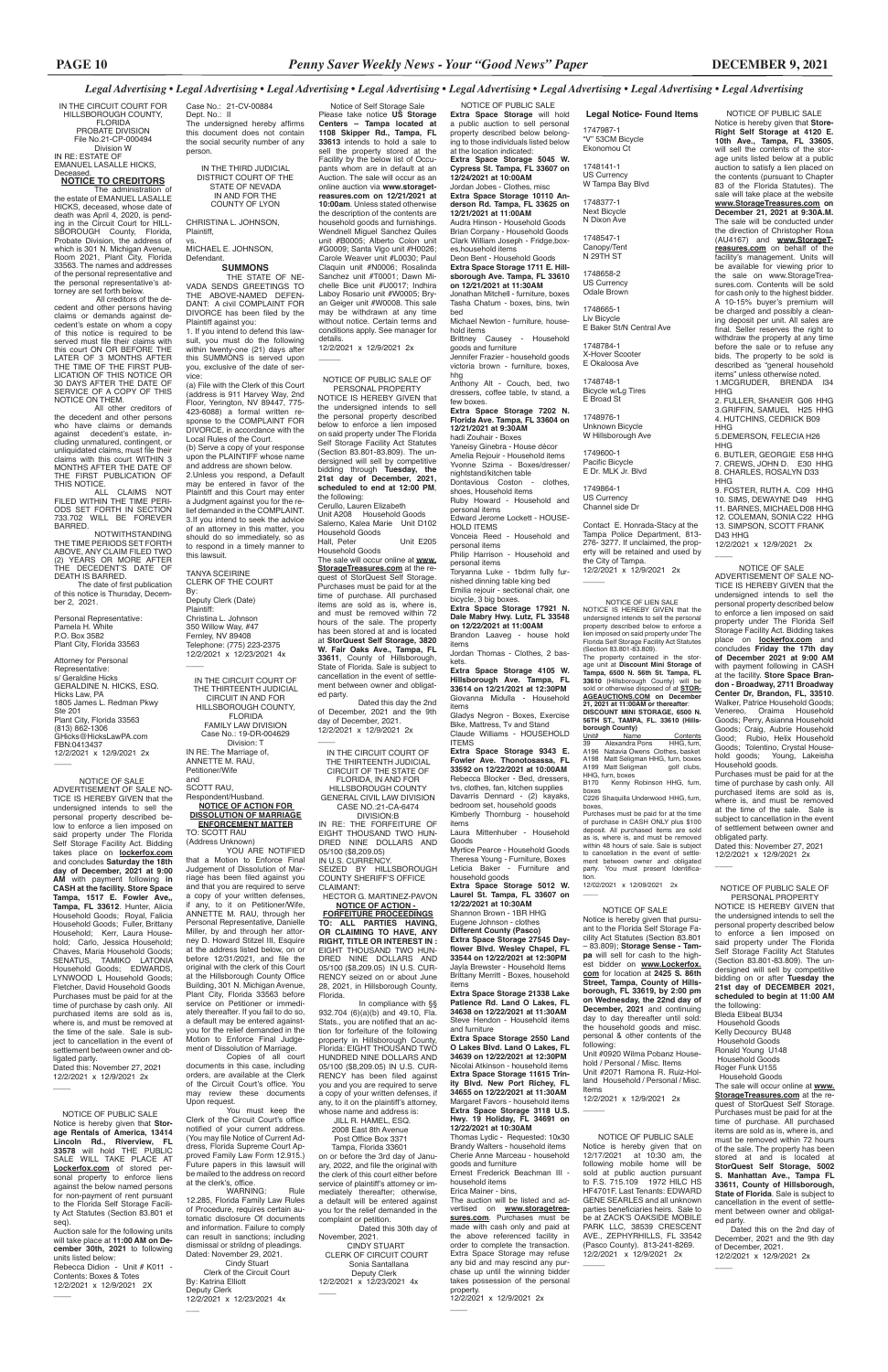NOTICE OF PUBLIC SALE Notice is hereby given that **Store-Right Self Storage at 4120 E. 10th Ave., Tampa, FL 33605**, will sell the contents of the storage units listed below at a public auction to satisfy a lien placed on the contents (pursuant to Chapter 83 of the Florida Statutes). The sale will take place at the website **www.StorageTreasures.com on December 21, 2021 at 9:30A.M.** The sale will be conducted under the direction of Christopher Rosa (AU4167) and **www.StorageTreasures.com** on behalf of the facility's management. Units will be available for viewing prior to the sale on www.StorageTreasures.com. Contents will be sold for cash only to the highest bidder. A 10-15% buyer's premium will be charged and possibly a cleaning deposit per unit. All sales are final. Seller reserves the right to withdraw the property at any time before the sale or to refuse any bids. The property to be sold is described as "general household items" unless otherwise noted. 1.MCGRUDER, BRENDA I34 HHG

**HHG** 9. FOSTER, RUTH A. C09 HHG 10. SIMS, DEWAYNE D49 HHG 11. BARNES, MICHAEL D08 HHG 12. COLEMAN, SONIA C22 HHG 13. SIMPSON, SCOTT FRANK D43 HHG

Dated this: November 27, 2021 12/2/2021 x 12/9/2021 2x  $\overline{\phantom{a}}$ 

2. FULLER, SHANEIR G06 HHG 3.GRIFFIN, SAMUEL H25 HHG 4. HUTCHINS, CEDRICK B09 HHG

Notice is hereby given that **Storage Rentals of America, 13414 Lincoln Rd., Riverview, FL 33578** will hold THE PUBLIC SALE WILL TAKE PLACE AT **Lockerfox.com** of stored personal property to enforce liens against the below named persons for non-payment of rent pursuant to the Florida Self Storage Facility Act Statutes (Section 83.801 et seg).

5.DEMERSON, FELECIA H26

HHG 6. BUTLER, GEORGIE E58 HHG 7. CREWS, JOHN D. E30 HHG 8. CHARLES, ROSALYN D33

12/2/2021 x 12/9/2021 2x

 $\overline{\phantom{a}}$ 

#### NOTICE OF SALE

ADVERTISEMENT OF SALE NO-TICE IS HEREBY GIVEN that the undersigned intends to sell the personal property described below to enforce a lien imposed on said property under The Florida Self Storage Facility Act. Bidding takes place on **lockerfox.com** and concludes **Friday the 17th day of December 2021 at 9:00 AM**  with payment following in CASH at the facility. **Store Space Brandon - Broadway, 2711 Broadway Center Dr, Brandon, FL, 33510**. Walker, Patrice Household Goods; Venereo, Oraima Household Goods; Perry, Asianna Household Goods; Craig, Aubrie Household Good; Rubio, Helix Household Goods; Tolentino, Crystal Household goods; Young, Lakeisha Household goods.

Purchases must be paid for at the time of purchase by cash only. All purchased items are sold as is, where is, and must be removed at the time of the sale. Sale is subject to cancellation in the event of settlement between owner and obligated party.

#### NOTICE OF PUBLIC SALE

Auction sale for the following units will take place at **11:00 AM on December 30th, 2021** to following units listed below:

Rebecca Didion - Unit # K011 - Contents: Boxes & Totes 12/2/2021 x 12/9/2021 2X

 $\overline{\phantom{a}}$ 

 $\overline{\phantom{a}}$ 

#### NOTICE OF PUBLIC SALE OF PERSONAL PROPERTY

#### vs. MICHAEL E. JOHNSON, **Defendant**

NOTICE IS HEREBY GIVEN that the undersigned intends to sell the personal property described below to enforce a lien imposed on said property under The Florida Self Storage Facility Act Statutes (Section 83.801-83.809). The undersigned will sell by competitive bidding through **Tuesday, the 21st day of December, 2021, scheduled to end at 12:00 PM**, the following: Cerullo, Lauren Elizabeth

1. If you intend to defend this lawsuit, you must do the following within twenty-one (21) days after this SUMMONS is served upon you, exclusive of the date of service

> Unit A208 Household Goods Salerno, Kalea Marie Unit D102 Household Goods<br>Hall, Peter Unit E205 Household Goods The sale will occur online at **www. StorageTreasures.com** at the re-

TANYA SCEIRINE CLERK OF THE COURT By: Deputy Clerk (Date) Plaintiff: Christina L. Johnson 350 Willow Way, #47 Fernley, NV 89408 Telephone: (775) 223-2375 12/2/2021 x 12/23/2021 4x  $\overline{\phantom{a}}$ 

quest of StorQuest Self Storage. Purchases must be paid for at the time of purchase. All purchased items are sold as is, where is, and must be removed within 72 hours of the sale. The property has been stored at and is located at **StorQuest Self Storage, 3820 W. Fair Oaks Ave., Tampa, FL 33611**, County of Hillsborough, State of Florida. Sale is subject to cancellation in the event of settlement between owner and obligated party.

Dated this day the 2nd of December, 2021 and the 9th day of December, 2021. 12/2/2021 x 12/9/2021 2x

 $\overline{\phantom{a}}$ 

#### NOTICE OF PUBLIC SALE OF PERSONAL PROPERTY

All creditors of the decedent and other persons having claims or demands against decedent's estate on whom a copy of this notice is required to be served must file their claims with this court ON OR BEFORE THE LATER OF 3 MONTHS AFTER THE TIME OF THE FIRST PUB-LICATION OF THIS NOTICE OR 30 DAYS AFTER THE DATE OF SERVICE OF A COPY OF THIS NOTICE ON THEM.

ALL CLAIMS NOT<br>-FILED WITHIN THE TIME PERI ODS SET FORTH IN SECTION 733.702 WILL BE FOREVER BARRED.

Attorney for Personal Representative: s/ Geraldine Hicks GERALDINE N. HICKS, ESQ. Hicks Law, PA 1805 James L. Redman Pkwy Ste 201 Plant City, Florida 33563 (813) 862-1306 GHicks@HicksLawPA.com FBN:0413437 12/2/2021 x 12/9/2021 2x  $\overline{\phantom{a}}$ 

> NOTICE IS HEREBY GIVEN that the undersigned intends to sell the personal property described below to enforce a lien imposed on said property under The Florida Self Storage Facility Act Statutes (Section 83.801-83.809). The undersigned will sell by competitive bidding on or after **Tuesday the 21st day of DECEMBER 2021, scheduled to begin at 11:00 AM**  the following: Bleda Elibeal BU34 Household Goods Kelly Decourcy BU48 Household Goods Ronald Young U148 Household Goods Roger Funk U155 Household Goods The sale will occur online at **www. StorageTreasures.com** at the request of StorQuest Self Storage. Purchases must be paid for at the time of purchase. All purchased items are sold as is, where is, and must be removed within 72 hours of the sale. The property has been stored at and is located at **StorQuest Self Storage, 5002 S. Manhattan Ave., Tampa FL 33611, County of Hillsborough, State of Florida**. Sale is subject to cancellation in the event of settlement between owner and obligated party. Dated this on the 2nd day of December, 2021 and the 9th day of December, 2021. 12/2/2021 x 12/9/2021 2x

 $\overline{\phantom{a}}$ 

YOU ARE NOTIFIED that a Motion to Enforce Final Judgement of Dissolution of Marriage has been filed against you and that you are required to serve a copy of your written defenses, if any, to it on Petitioner/Wife, ANNETTE M. RAU, through her Personal Representative, Danielle Miller, by and through her attorney D. Howard Stitzel III, Esquire at the address listed below, on or before 12/31/2021, and file the original with the clerk of this Court at the Hillsborough County Office Building, 301 N. Michigan Avenue, Plant City, Florida 33563 before service on Petitioner or immedi-

ately thereafter. If you fail to do so, a default may be entered againstyou for the relief demanded in the Motion to Enforce Final Judgement of Dissolution of Marriage.

WARNING: Rule 12.285, Florida Family Law Rules of Procedure, requires certain automatic disclosure Of documents and information. Failure to comply can result in sanctions; including dismissal or strildng of pleadings. Dated: November 29, 2021. Cindy Stuart Clerk of the Circuit Court

Notice of Self Storage Sale Please take notice **US Storage Centers – Tampa located at 1108 Skipper Rd., Tampa, FL 33613** intends to hold a sale to sell the property stored at the Facility by the below list of Occupants whom are in default at an .<br>Auction. The sale will occur as an online auction via **www.storagetreasures.com on 12/21/2021 at 10:00am**. Unless stated otherwise the description of the contents are household goods and furnishings. Wendnell Miguel Sanchez Quiles unit #B0005; Alberto Colon unit #G0009; Santa Vigo unit #H0026; Carole Weaver unit #L0030; Paul Claquin unit #N0006; Rosalinda Sanchez unit #T0001; Dawn Michelle Bice unit #U0017; Indhira Laboy Rosario unit #W0005; Bryan Geiger unit #W0008. This sale may be withdrawn at any time without notice. Certain terms and conditions apply. See manager for details.

Dated this: November 27, 2021 12/2/2021 x 12/9/2021 2x

12/2/2021 x 12/9/2021 2x \_\_\_\_\_

Case No.: 21-CV-00884 Dept. No.: II

The undersigned hereby affirms this document does not contain the social security number of any person.

IN THE THIRD JUDICIAL DISTRICT COURT OF THE STATE OF NEVADA IN AND FOR THE COUNTY OF LYON

CHRISTINA L. JOHNSON, Plaintiff,

#### **SUMMONS**

THE STATE OF NE-VADA SENDS GREETINGS TO THE ABOVE-NAMED DEFEN-DANT: A civil COMPLAINT FOR DIVORCE has been filed by the Plaintiff against you:

> 932.704 (6)(a)(b) and 49.10, Fla. Stats., you are notified that an action for forfeiture of the following property in Hillsborough County, Florida: EIGHT THOUSAND TWO HUNDRED NINE DOLLARS AND 05/100 (\$8,209.05) IN U.S. CUR-RENCY has been filed against you and you are required to serve a copy of your written defenses, if any, to it on the plaintiff's attorney, whose name and address is:

(a) File with the Clerk of this Court (address is 911 Harvey Way, 2nd Floor, Yerington, NV 89447, 775- 423-6088) a formal written response to the COMPLAINT FOR DIVORCE, in accordance with the Local Rules of the Court. (b) Serve a copy of your response upon the PLAINTIFF whose name and address are shown below. 2.Unless you respond, a Default may be entered in favor of the Plaintiff and this Court may enter a Judgment against you for the relief demanded in the COMPLAINT. 3.If you intend to seek the advice of an attorney in this matter, you should do so immediately, so as to respond in a timely manner to this lawsuit.

> Dated this 30th day of November, 2021.<br>CINDY STUART

**borough County)** <u>Unit# Name Contents</u><br>39 Alexandra Pons HHG, furn, A196 Natavia Owens Clothes, basket A198 Matt Seligman HHG, furn, boxes A199 Matt Seligman golf clubs, HHG, furn, boxes<br>B170 Kenny

Kenny Robinson HHG, furn, boxes C226 Shaquilla Underwood HHG, furn,

IN THE CIRCUIT COURT FOR HILLSBOROUGH COUNTY, FLORIDA PROBATE DIVISION File No.21-CP-000494 Division W IN RE: ESTATE OF EMANUEL LASALLE HICKS,

Deceased. **NOTICE TO CREDITORS**

The administration of the estate of EMANUEL LASALLE HICKS, deceased, whose date of death was April 4, 2020, is pending in the Circuit Court for HILL-SBOROUGH County, Florida, Probate Division, the address of which is 301 N. Michigan Avenue, Room 2021, Plant City, Florida 33563. The names and addresses of the personal representative and the personal representative's attorney are set forth below.

> Yaneisy Ginebra - House décor Amelia Rejouir - Household items Yvonne Szima - Boxes/dresser/ nightstand/kitchen table Dontavious Coston - clothes

All other creditors of the decedent and other persons who have claims or demands against decedent's estate, including unmatured, contingent, or unliquidated claims, must file their claims with this court WITHIN 3 MONTHS AFTER THE DATE OF THE FIRST PUBLICATION OF THIS NOTICE.

NOTWITHSTANDING THE TIME PERIODS SET FORTH ABOVE, ANY CLAIM FILED TWO (2) YEARS OR MORE AFTER THE DECEDENT'S DATE OF DEATH IS BARRED.

 The date of first publication of this notice is Thursday, Decem-ber 2, 2021.

Personal Representative: Pamela H. White P.O. Box 3582 Plant City, Florida 33563

> IN THE CIRCUIT COURT OF THE THIRTEENTH JUDICIAL CIRCUIT IN AND FOR HILLSBOROUGH COUNTY, FLORIDA FAMILY LAW DIVISION Case No.: 19-DR-004629 Division: T IN RE: The Marriage of, ANNETTE M. RAU, Petitioner/Wife

and

SCOTT RAU, Respondent/Husband.

#### **NOTICE OF ACTION FOR DISSOLUTION OF MARRIAGE ENFORCEMENT MATTER**

TO: SCOTT RAU (Address Unknown)

> NOTICE OF PUBLIC SALE Notice is hereby given that on 12/17/2021 at 10:30 am, the following mobile home will be sold at public auction pursuant to F.S. 715.109 1972 HILC HS HF4701F. Last Tenants: EDWARD GENE SEARLES and all unknown parties beneficiaries heirs. Sale to be at ZACK'S OAKSIDE MOBILE PARK LLC, 38539 CRESCENT AVE., ZEPHYRHILLS, FL 33542 (Pasco County). 813-241-8269. 12/2/2021 x 12/9/2021 2x  $\overline{\phantom{a}}$

Copies of all court documents in this case, including orders, are available at the Clerk of the Circuit Court's office. You may review these documents Upon request.

You must keep the Clerk of the Circuit Court's office notified of your current address. (You may file Notice of Current Address, Florida Supreme Court Approved Family Law Form 12.915.) Future papers in this lawsuit will be mailed to the address on record at the clerk's, office.

#### By: Katrina Elliott Deputy Clerk 12/2/2021 x 12/23/2021 4x

 $\overline{\phantom{a}}$ 

#### NOTICE OF SALE

ADVERTISEMENT OF SALE NO-TICE IS HEREBY GIVEN that the undersigned intends to sell the personal property described below to enforce a lien imposed on said property under The Florida Self Storage Facility Act. Bidding takes place on **lockerfox.com** and concludes **Saturday the 18th day of December, 2021 at 9:00 AM** with payment following **in CASH at the facility. Store Space Tampa, 1517 E. Fowler Ave,, Tampa, FL 33612**. Hunter, Alicia Household Goods; Royal, Falicia Household Goods; Fuller, Brittany Household; Kerr, Laura Household; Carlo, Jessica Household; Chaves, Maria Household Goods; SENATUS, TAMIKO LATONIA Household Goods; EDWARDS, LYNWOOD L Household Goods; Fletcher, David Household Goods Purchases must be paid for at the time of purchase by cash only. All purchased items are sold as is, where is, and must be removed at the time of the sale. Sale is subject to cancellation in the event of settlement between owner and obligated party.

#### NOTICE OF SALE

Notice is hereby given that pursuant to the Florida Self Storage Facility Act Statutes (Section 83.801 – 83.809); **Storage Sense - Tampa** will sell for cash to the highest bidder on **www.Lockerfox. com** for location at **2425 S. 86th Street, Tampa, County of Hillsborough, FL 33619, by 2:00 pm on Wednesday, the 22nd day of** 

**December, 2021** and continuing day to day thereafter until sold: the household goods and misc. personal & other contents of the following:

Unit #0920 Wilma Pobanz Household / Personal / Misc. Items Unit #2071 Ramona R. Ruiz-Holland Household / Personal / Misc. Items

12/2/2021 x 12/9/2021 2x

 $\overline{\phantom{a}}$ 

IN THE CIRCUIT COURT OF THE THIRTEENTH JUDICIAL CIRCUIT OF THE STATE OF FLORIDA, IN AND FOR HILLSBOROUGH COUNTY GENERAL CIVIL LAW DIVISION CASE NO.:21-CA-6474 DIVISION:B IN RE: THE FORFEITURE OF EIGHT THOUSAND TWO HUN-

DRED NINE DOLLARS AND 05/100 (\$8,209.05) IN U.S. CURRENCY. SEIZED BY HILLSBOROUGH COUNTY SHERIFF'S OFFICE CLAIMANT:

 HECTOR G. MARTINEZ-PAVON  **NOTICE OF ACTION - FORFEITURE PROCEEDINGS TO: ALL PARTIES HAVING, OR CLAIMING TO HAVE, ANY RIGHT, TITLE OR INTEREST IN :** EIGHT THOUSAND TWO HUN-DRED NINE DOLLARS AND 05/100 (\$8,209.05) IN U.S. CUR-RENCY seized on or about June 28, 2021, in Hillsborough County, Florida.

In compliance with §§

 JILL R. HAMEL, ESQ. 2008 East 8th Avenue Post Office Box 3371 Tampa, Florida 33601

on or before the 3rd day of January, 2022, and file the original with the clerk of this court either before service of plaintiff's attorney or immediately thereafter; otherwise, a default will be entered against you for the relief demanded in the complaint or petition.

 CINDY STUART CLERK OF CIRCUIT COURT Sonia Santallana Deputy Clerk 12/2/2021 x 12/23/2021 4x

 $\overline{\phantom{a}}$ 

NOTICE OF LIEN SALE NOTICE IS HEREBY GIVEN that the undersigned intends to sell the personal property described below to enforce a lien imposed on said property under The Florida Self Storage Facility Act Statutes (Section 83.801-83.809).

The property contained in the stor-age unit at **Discount Mini Storage of Tampa, 6500 N. 56th St. Tampa, FL 33610** (Hillsborough County) will be sold or otherwise disposed of at **STOR-AGEAUCTIONS.COM on December 21, 2021 at 11:00AM or thereafter**: **DISCOUNT MINI STORAGE, 6500 N. 56TH ST., TAMPA, FL. 33610 (Hills-**

boxes, Purchases must be paid for at the time of purchase in CASH ONLY plus \$100 deposit. All purchased items are sold as is, where is, and must be removed within 48 hours of sale. Sale is subject to cancellation in the event of settlement between owner and obligated party. You must present Identification. 12/02/2021 x 12/09/2021 2x

 $\overline{\phantom{a}}$ 

 NOTICE OF PUBLIC SALE **Extra Space Storage** will hold a public auction to sell personal property described below belonging to those individuals listed below at the location indicated: **Extra Space Storage 5045 W. Cypress St. Tampa, FL 33607 on 12/24/2021 at 10:00AM**

Jordan Jobes - Clothes, misc **Extra Space Storage 10110 Anderson Rd. Tampa, FL 33625 on 12/21/2021 at 11:00AM**

Audra Hinson - Household Goods Brian Corpany - Household Goods Clark William Joseph - Fridge,boxes,household items

Deon Bent - Household Goods **Extra Space Storage 1711 E. Hillsborough Ave. Tampa, FL 33610 on 12/21/2021 at 11:30AM** Jonathan Mitchell - furniture, boxes

Tasha Chatum - boxes, bins, twin bed Michael Newton - furniture, house-

hold items Brittney Causey - Household goods and furniture Jennifer Frazier - household goods victoria brown - furniture, boxes,

hhg Anthony Alt - Couch, bed, two dressers, coffee table, tv stand, a few boxes.

**Extra Space Storage 7202 N. Florida Ave. Tampa, FL 33604 on 12/21/2021 at 9:30AM** hadi Zouhair - Boxes

shoes, Household items Ruby Howard - Household and personal items

Edward Jerome Lockett - HOUSE-HOLD ITEMS

Vonceia Reed - Household and personal items

Philip Harrison - Household and personal items

Toryanna Luke - 1bdrm fully furnished dinning table king bed Emilia rejouir - sectional chair, one bicycle, 3 big boxes.

**Extra Space Storage 17921 N. Dale Mabry Hwy. Lutz, FL 33548** 

**on 12/22/2021 at 11:00AM** Brandon Laaveg - house hold items

Jordan Thomas - Clothes, 2 baskets.

**Extra Space Storage 4105 W. Hillsborough Ave. Tampa, FL 33614 on 12/21/2021 at 12:30PM** Giovanna Midulla - Household items

Gladys Negron - Boxes, Exercise Bike, Mattress, Tv and Stand Claude Williams - HOUSEHOLD

ITEMS **Extra Space Storage 9343 E. Fowler Ave. Thonotosassa, FL 33592 on 12/22/2021 at 10:00AM** Rebecca Blocker - Bed, dressers, tvs, clothes, fan, kitchen supplies Davarris Dennard - (2) kayaks, bedroom set, household goods Kimberly Thornburg - household

items Laura Mittenhuber - Household

Goods Myrtice Pearce - Household Goods Theresa Young - Furniture, Boxes Leticia Baker - Furniture and

household goods **Extra Space Storage 5012 W. Laurel St. Tampa, FL 33607 on 12/22/2021 at 10:30AM** Shannon Brown - 1BR HHG Eugene Johnson - clothes **Different County (Pasco) Extra Space Storage 27545 Dayflower Blvd. Wesley Chapel, FL 33544 on 12/22/2021 at 12:30PM**  Jayla Brewster - Household Items Brittany Merritt - Boxes, household items

**Extra Space Storage 21338 Lake Patience Rd. Land O Lakes, FL** 

**34638 on 12/22/2021 at 11:30AM**  Steve Hendon - Household items and furniture

**Extra Space Storage 2550 Land O Lakes Blvd. Land O Lakes, FL 34639 on 12/22/2021 at 12:30PM**  Nicolai Atkinson - household items **Extra Space Storage 11615 Trinity Blvd. New Port Richey, FL 34655 on 12/22/2021 at 11:30AM**  Margaret Favors - household items **Extra Space Storage 3118 U.S. Hwy. 19 Holiday, FL 34691 on 12/22/2021 at 10:30AM** 

Thomas Lydic - Requested: 10x30 Brandy Walters - household items Cherie Anne Marceau - household goods and furniture

Ernest Frederick Beachman III household items Erica Mainer - bins,

The auction will be listed and advertised on **www.storagetreasures.com**. Purchases must be made with cash only and paid at the above referenced facility in order to complete the transaction. Extra Space Storage may refuse any bid and may rescind any nurchase up until the winning bidder takes possession of the personal property. 12/2/2021 x 12/9/2021 2x

 $\overline{\phantom{a}}$ 

**Legal Notice- Found Items** 1747987-1 "V" 53CM Bicycle Ekonomou Ct

1748141-1 US Currency W Tampa Bay Blvd

1748377-1 Next Bicycle N Dixon Ave

1748547-1 Canopy/Tent N 29TH ST

1748658-2 US Currency Odale Brown

1748665-1 Liv Bicycle E Baker St/N Central Ave

1748784-1 X-Hover Scooter E Okaloosa Ave

1748748-1 Bicycle w/Lg Tires E Broad St

1748976-1 Unknown Bicycle W Hillsborough Ave

1749600-1 Pacific Bicycle E Dr. MLK Jr. Blvd

1749864-1 US Currency Channel side Dr

Contact E. Honrada-Stacy at the Tampa Police Department, 813- 276- 3277. If unclaimed, the property will be retained and used by the City of Tampa. 12/2/2021 x 12/9/2021 2x

 $\overline{\phantom{a}}$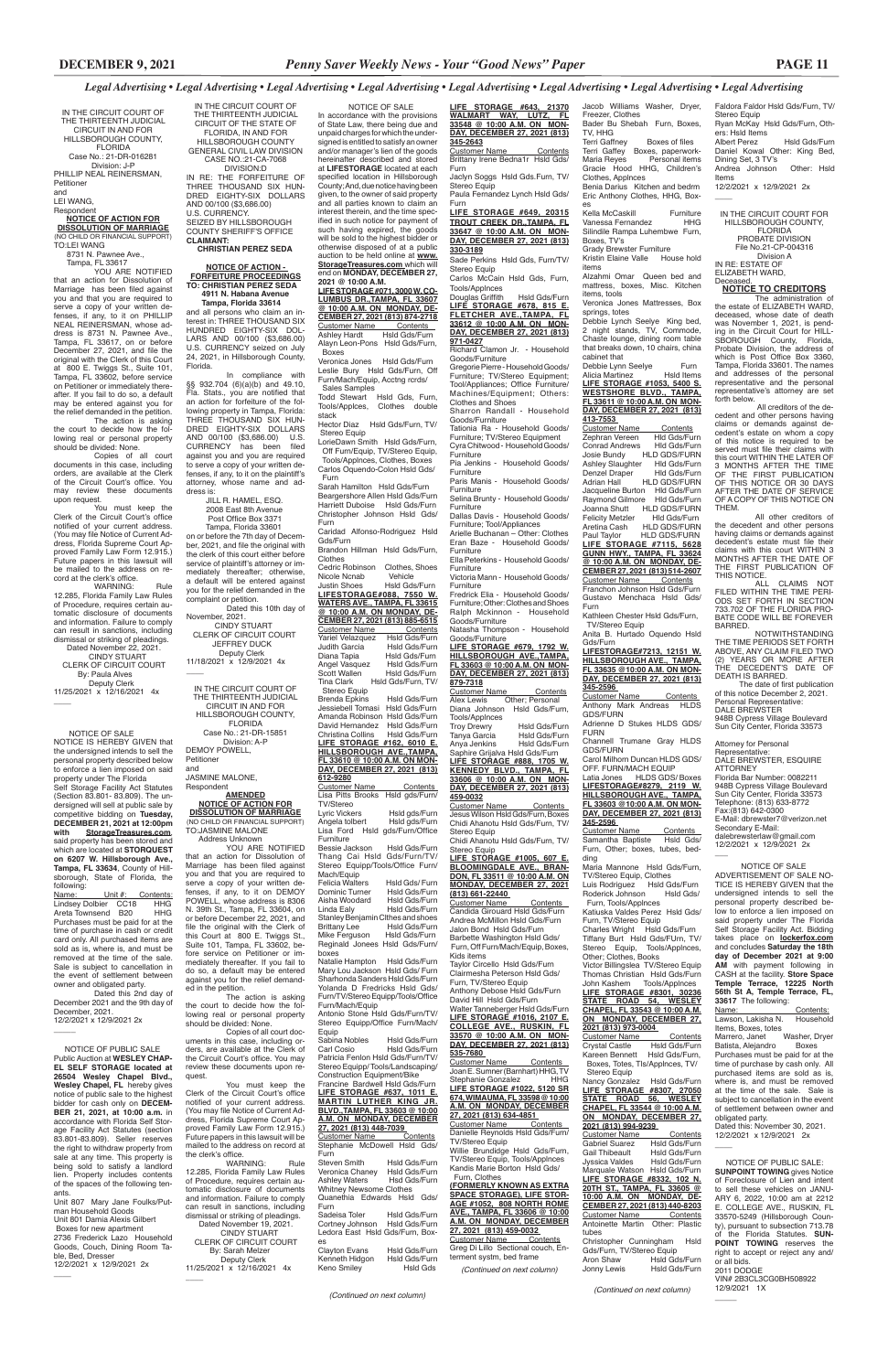IN THE CIRCUIT COURT OF THE THIRTEENTH JUDICIAL CIRCUIT OF THE STATE OF FLORIDA, IN AND FOR HILLSBOROUGH COUNTY GENERAL CIVIL LAW DIVISION CASE NO.:21-CA-7068 DIVISION:D IN RE: THE FORFEITURE OF

THREE THOUSAND SIX HUN-DRED EIGHTY-SIX DOLLARS AND 00/100 (\$3,686.00) U.S. CURRENCY. SEIZED BY HILLSBOROUGH COUNTY SHERIFF'S OFFICE **CLAIMANT:**

### **CHRISTIAN PEREZ SEDA**

#### **NOTICE OF ACTION - FORFEITURE PROCEEDINGS TO: CHRISTIAN PEREZ SEDA 4911 N. Habana Avenue Tampa, Florida 33614**

and all persons who claim an interest in: THREE THOUSAND SIX HUNDRED EIGHTY-SIX DOL-LARS AND 00/100 (\$3,686.00) U.S. CURRENCY seized on July 24, 2021, in Hillsborough County, Florida.

 $\overline{\phantom{a}}$ IN THE CIRCUIT COURT OF THE THIRTEENTH JUDICIAL

In compliance with §§ 932.704 (6)(a)(b) and 49.10, Fla. Stats., you are notified that an action for forfeiture of the following property in Tampa, Florida: THREE THOUSAND SIX HUN-DRED EIGHTY-SIX DOLLARS AND 00/100 (\$3,686.00) U.S. CURRENCY has been filed against you and you are required to serve a copy of your written defenses, if any, to it on the plaintiff's attorney, whose name and address is:

 JILL R. HAMEL, ESQ. 2008 East 8th Avenue Post Office Box 3371

The action is asking the court to decide how the fol-

 Tampa, Florida 33601 on or before the 7th day of December, 2021, and file the original with the clerk of this court either before service of plaintiff's attorney or immediately thereafter; otherwise, a default will be entered against you for the relief demanded in the complaint or petition.

You must keep the<br>Clerk of the Circuit Court's office notified of your current address. (You may file Notice of Current Address, Florida Supreme Court Approved Family Law Form 12.915.) Future papers in this lawsuit will be mailed to the address on record at the clerk's office.

WARNING: Rule 12.285, Florida Family Law Rules of Procedure, requires certain automatic disclosure of documents and information. Failure to comply can result in sanctions, including dismissal or striking of pleadings. Dated November 19, 2021. CINDY STUART CLERK OF CIRCUIT COURT By: Sarah Melzer Deputy Clerk 11/25/2021 x 12/16/2021 4x  $\overline{\phantom{a}}$ 

Dated this 10th day of November, 2021. CINDY STUART CLERK OF CIRCUIT COURT JEFFREY DUCK Deputy Clerk 11/18/2021 x 12/9/2021 4x

CIRCUIT IN AND FOR HILLSBOROUGH COUNTY, FLORIDA Case No.: 21-DR-15851 Division: A-P

DEMOY POWELL, Petitioner and

JASMINE MALONE, Respondent

#### **AMENDED NOTICE OF ACTION FOR DISSOLUTION OF MARRIAGE**

(NO CHILD OR FINANCIAL SUPPORT) TO:JASMINE MALONE

 Address Unknown YOU ARE NOTIFIED that an action for Dissolution of Marriage has been filed against you and that you are required to serve a copy of your written defenses, if any, to it on DEMOY POWELL, whose address is 8306 N. 39th St., Tampa, FL 33604, on or before December 22, 2021, and file the original with the Clerk of this Court at 800 E. Twiggs St., Suite 101, Tampa, FL 33602, before service on Petitioner or immediately thereafter. If you fail to do so, a default may be entered against you for the relief demanded in the petition.

You must keep the Clerk of the Circuit Court's office notified of your current address. (You may file Notice of Current Address, Florida Supreme Court Ap-proved Family Law Form 12.915.) Future papers in this lawsuit will be mailed to the address on record at the clerk's office.<br>WARNING:

> lowing real or personal property should be divided: None. Copies of all court doc-

uments in this case, including orders, are available at the Clerk of the Circuit Court's office. You may review these documents upon request.

NOTICE IS HEREBY GIVEN that the undersigned intends to sell the personal property described below to enforce a lien imposed on said property under The Florida Self Storage Facility Act Statutes (Section 83.801- 83.809). The undersigned will sell at public sale by competitive bidding on Tuesday, **DECEMBER 21, 2021 at 12:00pm with StorageTreasures.com**, said property has been stored and which are located at **STORQUEST on 6207 W. Hillsborough Ave., Tampa, FL 33634**, County of Hillsborough, State of Florida, the following:<br>Name:

Name: Unit #: Contents: Lindsey Dolbier CC18 HHG Areta Townsend B20 HHG Purchases must be paid for at the time of purchase in cash or credit card only. All purchased items are sold as is, where is, and must be removed at the time of the sale. Sale is subject to cancellation in the event of settlement between owner and obligated party.

ber, 2021 12/2/2021 x 12/9/2021 2x

 $\overline{\phantom{a}}$ 

 NOTICE OF PUBLIC SALE Public Auction at **WESLEY CHAP-EL SELF STORAGE located at 26504 Wesley Chapel Blvd., Wesley Chapel, FL** hereby gives notice of public sale to the highest bidder for cash only on **DECEM-BER 21, 2021, at 10:00 a.m.** in accordance with Florida Self Storage Facility Act Statutes (section 83.801-83.809). Seller reserves the right to withdraw property from sale at any time. This property is being sold to satisfy a landlord lien. Property includes contents of the spaces of the following tenants.

File No.21-CP-004316 Division A IN RE: ESTATE OF ELIZABETH WARD, **Deceased** 

Unit 807 Mary Jane Foulks/Putman Household Goods Unit 801 Damia Alexis Gilbert Boxes for new apartment 2736 Frederick Lazo Household Goods, Couch, Dining Room Table, Bed, Dresser 12/2/2021 x 12/9/2021 2x

 $\overline{\phantom{a}}$ 

IN THE CIRCUIT COURT OF THE THIRTEENTH JUDICIAL CIRCUIT IN AND FOR HILLSBOROUGH COUNTY, FLORIDA Case No.: 21-DR-016281 Division: J-P PHILLIP NEAL REINERSMAN, Petitioner

and

#### LEI WANG,

Respondent **NOTICE OF ACTION FOR**

#### **DISSOLUTION OF MARRIAGE** (NO CHILD OR FINANCIAL SUPPORT)

TO:LEI WANG

 8731 N. Pawnee Ave., Tampa, FL 33617

YOU ARE NOTIFIED

that an action for Dissolution of Marriage has been filed against you and that you are required to serve a copy of your written defenses, if any, to it on PHILLIP NEAL REINERSMAN, whose address is 8731 N. Pawnee Ave., Tampa, FL 33617, on or before December 27, 2021, and file the original with the Clerk of this Court at 800 E. Twiggs St., Suite 101, Tampa, FL 33602, before service on Petitioner or immediately thereafter. If you fail to do so, a default may be entered against you for the relief demanded in the petition. The action is asking

Customer Name Contents Brittany Irene Bedna1r Hsld Gds/ Furn

Sade Perkins Hsld Gds, Furn/TV/ Stereo Equip

the court to decide how the following real or personal property should be divided: None.

Copies of all court documents in this case, including orders, are available at the Clerk of the Circuit Court's office. You may review these documents upon request.

Paris Manis - Household Goods/ Furniture Selina Brunty - Household Goods/

Diana Johnson Hsld Gds/Furn, Tools/Applnces<br>Troy Drewry Hsld Gds/Furn<br>Hsld Gds/Furn

Tanya Garcia<br>Anya Jenkins Hsld Gds/Furn Saphire Grijalva Hsld Gds/Furn

WARNING: Rule 12.285, Florida Family Law Rules of Procedure, requires certain automatic disclosure of documents and information. Failure to comply can result in sanctions, including dismissal or striking of pleadings. Dated November 22, 2021. CINDY STUART

> Stereo Equip Chidi Ahanotu Hsld Gds/Furn, TV/ Stereo Equip **LIFE STORAGE #1005, 607 E.**

 CLERK OF CIRCUIT COURT By: Paula Alves Deputy Clerk 11/25/2021 x 12/16/2021 4x

 $\overline{\phantom{a}}$ 

#### NOTICE OF SALE

Furn, TV/Stereo Equip Anthony Debose Hsld Gds/Furn David Hill Hsld Gds/Furn Tanneberger Hsld Gds/Furn **LIFE STORAGE #1016, 2107 E. COLLEGE AVE., RUSKIN, FL 33570 @ 10:00 A.M. ON MON-DAY, DECEMBER 27, 2021 (813) 535-7680**  Customer Name Contents<br>Joan E. Sumner (Barnhart) HHG, TV Stephanie Gonzalez HHG **LIFE STORAGE #1022, 5120 SR 674, WIMAUMA, FL 33598 @ 10:00 A.M. ON MONDAY, DECEMBER 27, 2021 (813) 634-4851**  <u>Customer Name Contents </u><br>Danielle Reynolds Hsld Gds/Furn/ TV/Stereo Equip Willie Brundidge Hsld Gds/Furn, TV/Stereo Equip, Tools/Applnces Kandis Marie Borton Hsld Gds/ Furn, Clothes **(FORMERLY KNOWN AS EXTRA SPACE STORAGE), LIFE STOR-AGE #1052, 808 NORTH ROME AVE., TAMPA, FL 33606 @ 10:00 A.M. ON MONDAY, DECEMBER 27, 2021 (813) 459-0032**  Customer Name Contents Greg Di Lillo Sectional couch, En-

**2021 @ 10:00 A.M. LIFE STORAGE #071, 3000 W. CO-LUMBUS DR.,TAMPA, FL 33607 @ 10:00 A.M. ON MONDAY, DE-CEMBER 27, 2021 (813) 874-2718**  Customer Name Contents<br>Ashley Hardt Hsld Gds/Furn Ashley Hardt

Dated this 2nd day of December 2021 and the 9th day of

 NOTICE OF SALE ADVERTISEMENT OF SALE NO-TICE IS HEREBY GIVEN that the undersigned intends to sell the personal property described below to enforce a lien imposed on said property under The Florida Self Storage Facility Act. Bidding takes place on **lockerfox.com** and concludes **Saturday the 18th day of December 2021 at 9:00 AM** with payment following in CASH at the facility. **Store Space Temple Terrace, 12225 North 56th St A, Temple Terrace, FL,** 

**612-9280** Customer Name Contents Lisa Pitts Brooks Hsld gds/Furn/ TV/Stereo<br>Lyric Vickers

Lyric Vickers Hsld gds/Furn<br>Angela tolbert Hsld gds/Furn Angela tolbert Hsld gds/Furn Lisa Ford Hsld gds/Furn/Office

Furniture<br>Bessie Jackson Hsld Gds/Furn Thang Cai Hsld Gds/Furn/TV/ Stereo Equipp/Tools/Office Furn/ Mach/Equip<br>Felicia Walters

> **33617** The following: <u>Name: Contents:</u><br>Lawson, Lakisha N. Household Lawson, Lakisha N. Items, Boxes, totes<br>Marrero, Janet Washer, Drver Marrero, Janet Washer, D<br>Batista, Alejandro Boxes Batista, Alejandro Purchases must be paid for at the time of purchase by cash only. All purchased items are sold as is, where is, and must be removed at the time of the sale. Sale is subject to cancellation in the event of settlement between owner and obligated party. Dated this: November 30, 2021. 12/2/2021 x 12/9/2021 2x

Felicia Walters Hsld Gds/ Furn<br>Dominic Turner Hsld Gds/ Furn nominic Turner<br>Dominic Turner Hsld Gds/Furn<br>Aisha Woodard Hsld Gds/Furn Aisha Woodard Hsld Gds/Furn<br>Linda Falv Hsld Gds/Furn Hsld Gds/Furn Stanley Benjamin Clthes and shoes<br>Brittany Lee Hsld Gds/Furn **Brittany Lee Hsld Gds/Furn<br>Mike Ferguson Hsld Gds/Furn** Hsld Gds/Furn Reginald Jonees Hsld Gds/Furn/

Antonio Stone Hsld Gds/Furn/TV/ Stereo Equipp/Office Furn/Mach/ Equip<br>Sabina Nobles

Sabina Nobles Hsld Gds/Furn<br>Carl Cosio Hsld Gds/Furn Hsld Gds/Furn Patricia Fenlon Hsld Gds/Furn/TV/ Stereo Equipp/ Tools/Landscaping/ Construction Equipment/Bike Francine Bardwell Hsld Gds/Furn **LIFE STORAGE #637, 1011 E. MARTIN LUTHER KING JR. BLVD.,TAMPA, FL 33603 @ 10:00 A.M. ON MONDAY, DECEMBER**  <u>27, 2021 (813) 448-7039</u><br><u>Customer Name Contents</u> Stephanie McDowell Hsld Gds/ Furn<br>Steven Smith

Hsld Gds/Furn Veronica Chaney Hsld Gds/Furn **Ashley Waters** Whitney Newsome Clothes Quanethia Edwards Hsld Gds/ Furn<br>Sadeisa Toler

IN THE CIRCUIT COURT FOR HILLSBOROUGH COUNTY, FLORIDA PROBATE DIVISION

Hsld Gds/Furn<br>Hsld Gds/Furn Cortney Johnson Ledora East Hsld Gds/Furn, Box-

es<br>Clayton Evans Hsld Gds/Furn<br>Hsld Gds/Furn Kenneth Hidgon Hsld Gds/Furn<br>Keno Smiley Hsld Gds Keno Smiley

**NOTICE TO CREDITORS** The administration of the estate of ELIZABETH WARD, deceased, whose date of death was November 1, 2021, is pending in the Circuit Court for HILL-SBOROUGH County, Florida, Probate Division, the address of which is Post Office Box 3360, Tampa, Florida 33601. The names and addresses of the personal representative and the personal representative's attorney are set

TV, HHG<br>Terri Gaffney Boxes of files Terri Gaffey Boxes, paperwork-Maria Reyes Personal items Gracie Hood HHG, Children's Clothes, Applnces Benia Darius Kitchen and bedrm

forth below.

All creditors of the de-

Kella McCaskill Furniture<br>Vanessa Fernandez HHG Vanessa Fernandez Silindile Rampa Luhembwe Furn, Boxes, TV's Grady Brewster Furniture

> cedent and other persons having claims or demands against decedent's estate on whom a copy of this notice is required to be served must file their claims with this court WITHIN THE LATER OF 3 MONTHS AFTER THE TIME OF THE FIRST PUBLICATION OF THIS NOTICE OR 30 DAYS AFTER THE DATE OF SERVICE OF A COPY OF THIS NOTICE ON

Debbie Lynn Seelye Furn<br>Alicia Martinez Hsld Items Alicia Martinez Hsld Items<br><u>LIFE STORAGE #1053, 5400 S.</u> **WESTSHORE BLVD., TAMPA, FL 33611 @ 10:00 A.M. ON MON-DAY, DECEMBER 27, 2021 (813) 413-7553** 

THEM.

All other creditors of the decedent and other persons having claims or demands against decedent's estate must file their claims with this court WITHIN 3 MONTHS AFTER THE DATE OF THE FIRST PUBLICATION OF THIS NOTICE. ALL CLAIMS NOT<br>-FILED WITHIN THE TIME PERI ODS SET FORTH IN SECTION 733.702 OF THE FLORIDA PRO-BATE CODE WILL BE FOREVER

Customer Name Contents<br>Zephran Vereen Hld Gds/Furn **Zephran Vereen Hild Gds/Furn**<br>Conrad Andrews Hild Gds/Furn Conrad Andrews Hld Gds/Furn<br>Josie Bundy HLD GDS/FURN Josie Bundy HLD GDS/FURN Ashley Slaughter Hld Gds/Furn Denzel Draper Hld Gds/Furn Adrian Hall HLD GDS/FURN Jacqueline Burton Hld Gds/Furn Raymond Gilmore Hld Gds/Furn Joanna Shutt HLD GDS/FURN Felicity Metzler Hld Gds/Furn Aretina Cash HLD GDS/FURN<br>Paul Taylor HLD GDS/FURN HLD GDS/FURN **LIFE STORAGE #7115, 5628 GUNN HWY., TAMPA, FL 33624 @ 10:00 A.M. ON MONDAY, DE-CEMBER 27, 2021 (813) 514-2607**  Customer Name Contents Franchon Johnson Hsld Gds/Furn Gustavo Menchaca Hsld Gds/ Furn

Customer Name Contents<br>Anthony Mark Andreas HLDS Anthony Mark Andreas HLDS BARRED.

NOTWITHSTANDING THE TIME PERIODS SET FORTH ABOVE, ANY CLAIM FILED TWO (2) YEARS OR MORE AFTER THE DECEDENT'S DATE OF

DEATH IS BARRED.

The date of first publication of this notice December 2, 2021.

Personal Representative: DALE BREWSTER 948B Cypress Village Boulevard Sun City Center, Florida 33573

Attorney for Personal Representative: DALE BREWSTER, ESQUIRE

Florida Bar Number: 0082211 948B Cypress Village Boulevard Sun City Center, Florida 33573 Telephone: (813) 633-8772 Fax:(813) 642-0300 E-Mail: dbrewster7@verizon.net

**ATTORNEY** 

Customer Name<br>Crystal Castle Hsld Gds/Furn Hsld Gds/Furn Kareen Bennett Hsld Gds/Furn, Boxes, Totes, Tls/Applnces, TV/ Stereo Equip Nancy Gonzalez Hsld Gds/Furn

**LIFE STORAGE #8307, 27050 STATE ROAD 56, WESLEY CHAPEL, FL 33544 @ 10:00 A.M. ON MONDAY, DECEMBER 27, 2021 (813) 994-9239**  Customer Name Contents<br>Gabriel Suarez Hsld Gds/Furn Gabriel Suarez<br>Gail Thibeault Gail Thibeault Hsld Gds/Furn<br>Jyssica Valdes Hsld Gds/Furn Hsld Gds/Furn

Secondary E-Mail:

 $\overline{\phantom{a}}$ 

dalebrewsterlaw@gmail.com 12/2/2021 x 12/9/2021 2x

Marquale Watson Hsld Gds/Furn **LIFE STORAGE #8332, 102 N. 20TH ST., TAMPA, FL 33605 @ 10:00 A.M. ON MONDAY, DE-CEMBER 27, 2021 (813) 440-8203**  Customer Name Contents Antoinette Martin Other: Plastic tubes Christopher Cunningham Hsld Gds/Furn, TV/Stereo Equip<br>Aron Shaw Hsld Gd Aron Shaw Hsld Gds/Furn<br>Jonny Lewis Hsld Gds/Furn Hsld Gds/Furn

**LIFE STORAGE #643, 21370 WALMART WAY, LUTZ, FL 33548 @ 10:00 A.M. ON MON-DAY, DECEMBER 27, 2021 (813) 345-2643**

Jaclyn Soggs Hsld Gds.Furn, TV/ Stereo Equip Paula Fernandez Lynch Hsld Gds/

Furn **LIFE STORAGE #649, 20315 TROUT CREEK DR.,TAMPA, FL 33647 @ 10:00 A.M. ON MON-DAY, DECEMBER 27, 2021 (813) 330-3189**

Carlos McCain Hsld Gds, Furn, Tools/Applnces

Douglas Griffith Hsld Gds/Furn **LIFE STORAGE #678, 815 E. FLETCHER AVE.,TAMPA, FL 33612 @ 10:00 A.M. ON MON-DAY, DECEMBER 27, 2021 (813) 971-0427**

Richard Clamon Jr. - Household

Goods/Furniture Gregorie Pierre - Household Goods/ Furniture; TV/Stereo Equipment; Tool/Appliances; Office Furniture/ Machines/Equipment; Others:

Clothes and Shoes Sharron Randall - Household Goods/Furniture Tationia Ra - Household Goods/

Furniture; TV/Stereo Equipment Cyra Chitwood - Household Goods/ Furniture

Pia Jenkins - Household Goods/ Furniture

Furniture Dallas Davis - Household Goods/

Furniture; Tool/Appliances Arielle Buchanan – Other: Clothes Eran Baze - Household Goods/

Furniture Ella Peterkins - Household Goods/

Furniture Victoria Mann - Household Goods/

Furniture Fredrick Elia - Household Goods/ Furniture; Other: Clothes and Shoes

Ralph Mckinnon - Household Goods/Furniture Natasha Thompson - Household

Goods/Furniture **LIFE STORAGE #679, 1792 W. HILLSBOROUGH AVE.,TAMPA,** 

**FL 33603 @ 10:00 A.M. ON MON-DAY, DECEMBER 27, 2021 (813) 879-7318**

<u>Customer Name Contents</u><br>Alex Lewis Other; Personal

**LIFE STORAGE #888, 1705 W. KENNEDY BLVD., TAMPA, FL 33606 @ 10:00 A.M. ON MON-DAY, DECEMBER 27, 2021 (813)** 

**459-0032** <u>Customer Name Contents </u><br>Jesus Wilson Hsld Gds/Furn, Boxes Chidi Ahanotu Hsld Gds/Furn, TV/

**BLOOMINGDALE AVE., BRAN-DON, FL 33511 @ 10:00 A.M. ON MONDAY, DECEMBER 27, 2021 (813) 661-22440** 

Customer Name Contents Candida Girouard Hsld Gds/Furn Andrea McMillon Hsld Gds/Furn Jalon Bond Hsld Gds/Furn Barbette Washington Hsld Gds/

 Furn, Off Furn/Mach/Equip, Boxes, Kids items Taylor Circello Hsld Gds/Furn Clairmesha Peterson Hsld Gds/

terment systm, bed frame *(Continued on next column)*

#### NOTICE OF SALE

In accordance with the provisions of State Law, there being due and unpaid charges for which the undersigned is entitled to satisfy an owner and/or manager's lien of the goods hereinafter described and stored at **LIFESTORAGE** located at each specified location in Hillsborough County; And, due notice having been given, to the owner of said property and all parties known to claim an interest therein, and the time specified in such notice for payment of such having expired, the goods will be sold to the highest bidder or otherwise disposed of at a public auction to be held online at **www. StorageTreasures.com** which will end on **MONDAY, DECEMBER 27,** 

Alayn Leon-Pons Hsld Gds/Furn, Boxes

Veronica Jones Hsld Gds/Furn Leslie Bury Hsld Gds/Furn, Off Furn/Mach/Equip, Acctng rcrds/

 Sales Samples Todd Stewart Hsld Gds, Furn, Tools/Applces, Clothes double stack

Hector Diaz Hsld Gds/Furn, TV/ Stereo Equip

LorieDawn Smith Hsld Gds/Furn, Off Furn/Equip, TV/Stereo Equip, Tools/Applnces, Clothes, Boxes Carlos Oquendo-Colon Hsld Gds/ Furn

Sarah Hamilton Hsld Gds/Furn Beargershore Allen Hsld Gds/Furn Harriett Duboise Hsld Gds/Furn Christopher Johnson Hsld Gds/ Furn

Caridad Alfonso-Rodriguez Hsld Gds/Furn

Brandon Hillman Hsld Gds/Furn, Clothes

Cedric Robinson Clothes, Shoes<br>Nicole Ncnab Vehicle Nicole Ncnab<br>Justin Shoes Hsld Gds/Furn

**LIFESTORAGE#088, 7550 W. WATERS AVE., TAMPA, FL 33615 @ 10:00 A.M. ON MONDAY, DE-CEMBER 27, 2021 (813) 885-6515** Customer Name Contents<br>
Yariel Velazquez Hsld Gds/Furn Yariel Velazquez<br>Judith Garcia Judith Garcia Hsld Gds/Furn Hsld Gds/Furn<br>Hsld Gds/Furn Angel Vasquez<br>Scott Wallen Scott Wallen Hsld Gds/Furn<br>Tina Clark Hsld Gds/Furn, TV/ Hsld Gds/Furn, TV/ Stereo Equip<br>Brenda Epkins Hsld Gds/Furn Jessiebell Tomasi Hsld Gds/Furn Amanda Robinson Hsld Gds/Furn David Hernandez Hsld Gds/Furn<br>Christina Collins Hsld Gds/Furn Christina Collins **LIFE STORAGE #162, 6010 E. HILLSBOROUGH AVE.,TAMPA, FL 33610 @ 10:00 A.M. ON MON-DAY, DECEMBER 27, 2021 (813)** 

boxes

Natalie Hampton Hsld Gds/Furn Mary Lou Jackson Hsld Gds/ Furn Sharhonda Sanders Hsld Gds/Furn Yolanda D Fredricks Hsld Gds/ Furn/TV/Stereo Equipp/Tools/Office Furn/Mach/Equip

*(Continued on next column)*

Jacob Williams Washer, Dryer, Freezer, Clothes Bader Bu Shebah Furn, Boxes,

Eric Anthony Clothes, HHG, Boxes

Kristin Elaine Valle House hold

items Alzahmi Omar Queen bed and mattress, boxes, Misc. Kitchen

items, tools Veronica Jones Mattresses, Box springs, totes

Debbie Lynch Seelye King bed, 2 night stands, TV, Commode, Chaste lounge, dining room table that breaks down, 10 chairs, china cabinet that

Kathleen Chester Hsld Gds/Furn,

 TV/Stereo Equip Anita B. Hurtado Oquendo Hsld Gds/Furn **LIFESTORAGE#7213, 12151 W.** 

**HILLSBOROUGH AVE., TAMPA, FL 33635 @10:00 A.M. ON MON-DAY, DECEMBER 27, 2021 (813)** 

**345-2596** 

GDS/FURN

Adrienne D Stukes HLDS GDS/

FURN

Channell Trumane Gray HLDS

GDS/FURN

Carol Milhorn Duncan HLDS GDS/ OFF. FURN/MACH EQUIP Latia Jones HLDS GDS/ Boxes **LIFESTORAGE#8279, 2119 W. HILLSBOROUGH AVE., TAMPA, FL 33603 @10:00 A.M. ON MON-DAY, DECEMBER 27, 2021 (813)** 

Customer Name Contents<br>Samantha Baptiste Hsld Gds/

**345-2596** 

Furn, Other; boxes, tubes, bed-

ding

Samantha Baptiste

Maria Mannone Hsld Gds/Furn, TV/Stereo Equip, Clothes Luis Rodriguez Hsld Gds/Furn Roderick Johnson Hsld Gds/ Furn, Tools/Applnces Katiuska Valdes Perez Hsld Gds/

Furn, TV/Stereo Equip Charles Wright Hsld Gds/Furn Tiffany Burt Hsld Gds/FUrn, TV/ Stereo Equip, Tools/Applnces,

Other; Clothes, Books Victor Billingslea TV/Stereo Equip Thomas Christian Hsld Gds/Furn John Kashem Tools/Applnces **LIFE STORAGE #8301, 30236 STATE ROAD 54, WESLEY CHAPEL, FL 33543 @ 10:00 A.M.** 

**ON MONDAY, DECEMBER 27, 2021 (813) 973-0004** 

*(Continued on next column)*

Faldora Faldor Hsld Gds/Furn, TV/

Stereo Equip

Ryan McKay Hsld Gds/Furn, Oth-

ers: Hsld Items

Albert Perez Hsld Gds/Furn Daniel Kowal Other: King Bed,

Dining Set, 3 TV's

Andrea Johnson Other: Hsld

Items

 $\overline{\phantom{a}}$ 

12/2/2021 x 12/9/2021 2x

 NOTICE OF PUBLIC SALE: **SUNPOINT TOWING** gives Notice of Foreclosure of Lien and intent to sell these vehicles on JANU-ARY 6, 2022, 10:00 am at 2212 E. COLLEGE AVE., RUSKIN, FL 33570-5249 (Hillsborough County), pursuant to subsection 713.78 of the Florida Statutes. **SUN-POINT TOWING** reserves the right to accept or reject any and/ or all bids. 2011 DODGE VIN# 2B3CL3CG0BH508922 12/9/2021 1X

 $\overline{\phantom{a}}$ 

 $\overline{\phantom{a}}$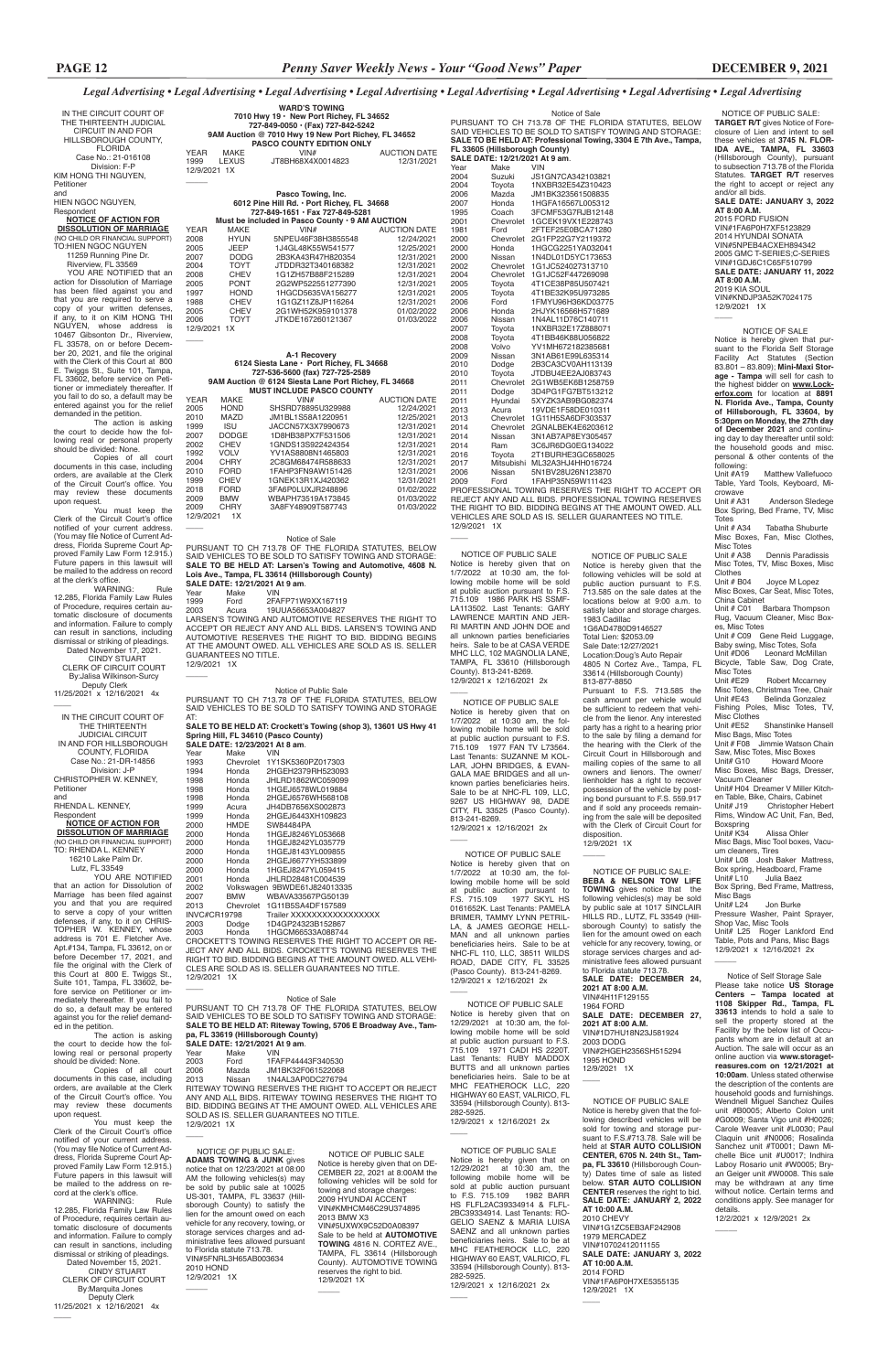#### *Legal Advertising • Legal Advertising • Legal Advertising • Legal Advertising • Legal Advertising • Legal Advertising • Legal Advertising • Legal Advertising*

Notice of Self Storage Sale Please take notice **US Storage Centers – Tampa located at 1108 Skipper Rd., Tampa, FL** 

**33613** intends to hold a sale to sell the property stored at the Facility by the below list of Occupants whom are in default at an Auction. The sale will occur as an online auction via **www.storagetreasures.com on 12/21/2021 at 10:00am**. Unless stated otherwise the description of the contents are household goods and furnishings. Wendnell Miguel Sanchez Quiles unit #B0005; Alberto Colon unit #G0009; Santa Vigo unit #H0026; Carole Weaver unit #L0030; Paul Claquin unit #N0006; Rosalinda Sanchez unit #T0001; Dawn Michelle Bice unit #U0017; Indhira Laboy Rosario unit #W0005; Bryan Geiger unit #W0008. This sale may be withdrawn at any time without notice. Certain terms and conditions apply. See manager for details. 12/2/2021 x 12/9/2021 2x

mediately thereafter. If you fail to do so, a default may be entered against you for the relief demanded in the petition.

fore service on Petitioner or im-

The action is asking the court to decide how the following real or personal property should be divided: None. Copies of all court

documents in this case, including orders, are available at the Clerk of the Circuit Court's office. You may review these documents upon request.

You must keep the Clerk of the Circuit Court's office notified of your current address. (You may file Notice of Current Address, Florida Supreme Court Approved Family Law Form 12.915.) Future papers in this lawsuit will be mailed to the address on record at the clerk's office.

WARNING: Rule 12.285, Florida Family Law Rules of Procedure, requires certain automatic disclosure of documents and information. Failure to comply can result in sanctions, including dismissal or striking of pleadings. Dated November 15, 2021 CINDY STUART CLERK OF CIRCUIT COURT By:Marquita Jones Deputy Clerk 11/25/2021 x 12/16/2021 4x  $\overline{\phantom{a}}$ 

 NOTICE OF PUBLIC SALE: **ADAMS TOWING & JUNK** gives notice that on 12/23/2021 at 08:00 AM the following vehicles(s) may be sold by public sale at 10025 US-301, TAMPA, FL 33637 (Hillsborough County) to satisfy the lien for the amount owed on each vehicle for any recovery, towing, or storage services charges and administrative fees allowed pursuant to Florida statute 713.78. VIN#5FNRL3H65AB003634 2010 HOND 12/9/2021 1X  $\overline{\phantom{a}}$ 

 $\overline{\phantom{a}}$ 

 $\overline{\phantom{a}}$  NOTICE OF PUBLIC SALE Notice is hereby given that the following described vehicles will be sold for towing and storage pursuant to F.S.#713.78. Sale will be held at **STAR AUTO COLLISION CENTER, 6705 N. 24th St., Tampa, FL 33610** (Hillsborough County) Dates time of sale as listed below. **STAR AUTO COLLISION CENTER** reserves the right to bid. **SALE DATE: JANUARY 2, 2022 AT 10:00 A.M.** 2010 CHEVY VIN#1G1ZC5EB3AF242908 1979 MERCADEZ VIN#10702412011155 **SALE DATE: JANUARY 3, 2022 AT 10:00 A.M.**

12/9/2021 1X  $\overline{\phantom{a}}$ 

12/9/2021 1X \_\_\_\_

Notice of Sale PURSUANT TO CH 713.78 OF THE FLORIDA STATUTES, BELOW SAID VEHICLES TO BE SOLD TO SATISFY TOWING AND STORAGE: **SALE TO BE HELD AT: Riteway Towing, 5706 E Broadway Ave., Tampa, FL 33619 (Hillsborough County) SALE DATE: 12/21/2021 At 9 am.**<br>
Year Make VIN Year Make<br>2003 Ford 2003 Ford 1FAFP44443F340530 2006 Mazda JM1BK32F061522068<br>2013 Nissan 1N4AL3AP0DC276794 2013 Nissan 1N4AL3AP0DC276794 RITEWAY TOWING RESERVES THE RIGHT TO ACCEPT OR REJECT ANY AND ALL BIDS. RITEWAY TOWING RESERVES THE RIGHT TO BID. BIDDING BEGINS AT THE AMOUNT OWED. ALL VEHICLES ARE SOLD AS IS. SELLER GUARANTEES NO TITLE. 12/9/2021 1X

 $\overline{\phantom{a}}$ 

| IN THE CIRCUIT COURT OF<br>THE THIRTEENTH JUDICIAL<br>CIRCUIT IN AND FOR<br>HILLSBOROUGH COUNTY,<br><b>FLORIDA</b> | <b>WARD'S TOWING</b><br>7010 Hwy 19 · New Port Richey, FL 34652<br>727-849-0050 · (Fax) 727-842-5242<br>9AM Auction @ 7010 Hwy 19 New Port Richey, FL 34652<br><b>PASCO COUNTY EDITION ONLY</b> | Notice of Sale<br>PURSUANT TO CH 713.78 OF THE FLORIDA STATUTES, BELOW<br>SAID VEHICLES TO BE SOLD TO SATISFY TOWING AND STORAGE:<br>SALE TO BE HELD AT: Professional Towing, 3304 E 7th Ave., Tampa,<br>FL 33605 (Hillsborough County) | NOTICE OF PUBLIC SALE:<br><b>TARGET R/T</b> gives Notice of Fore-<br>closure of Lien and intent to sell<br>these vehicles at 3745 N. FLOR-<br>IDA AVE., TAMPA, FL 33603 |
|--------------------------------------------------------------------------------------------------------------------|-------------------------------------------------------------------------------------------------------------------------------------------------------------------------------------------------|-----------------------------------------------------------------------------------------------------------------------------------------------------------------------------------------------------------------------------------------|-------------------------------------------------------------------------------------------------------------------------------------------------------------------------|
| Case No.: 21-016108<br>Division: F-P                                                                               | <b>AUCTION DATE</b><br>YEAR<br>MAKE<br>VIN#<br><b>LEXUS</b><br>1999<br>JT8BH68X4X0014823<br>12/31/2021<br>12/9/2021 1X                                                                          | SALE DATE: 12/21/2021 At 9 am.<br>Make<br>VIN<br>Year                                                                                                                                                                                   | (Hillsborough County), pursuant<br>to subsection 713.78 of the Florida                                                                                                  |
| KIM HONG THI NGUYEN,<br>Petitioner                                                                                 |                                                                                                                                                                                                 | 2004<br>Suzuki<br>JS1GN7CA342103821<br>2004<br>Toyota<br>1NXBR32E54Z310423                                                                                                                                                              | Statutes. TARGET R/T reserves<br>the right to accept or reject any                                                                                                      |
| and<br>HIEN NGOC NGUYEN,                                                                                           | Pasco Towing, Inc.<br>6012 Pine Hill Rd. . Port Richey, FL 34668                                                                                                                                | 2006<br>JM1BK323561508835<br>Mazda<br>2007<br>Honda<br>1HGFA16567L005312                                                                                                                                                                | and/or all bids.<br>SALE DATE: JANUARY 3, 2022                                                                                                                          |
| Respondent<br><b>NOTICE OF ACTION FOR</b>                                                                          | 727-849-1651 · Fax 727-849-5281<br>Must be included in Pasco County . 9 AM AUCTION                                                                                                              | 1995<br>Coach<br>3FCMF53G7RJB12148<br>2001<br>Chevrolet 1GCEK19VX1E228743                                                                                                                                                               | AT 8:00 A.M.<br>2015 FORD FUSION                                                                                                                                        |
| <b>DISSOLUTION OF MARRIAGE</b><br>(NO CHILD OR FINANCIAL SUPPORT)                                                  | <b>YEAR</b><br>MAKE<br>VIN#<br><b>AUCTION DATE</b><br>2008<br><b>HYUN</b><br>5NPEU46F38H3855548<br>12/24/2021                                                                                   | 1981<br>Ford<br>2FTEF25E0BCA71280<br>2000<br>Chevrolet 2G1FP22G7Y2119372                                                                                                                                                                | VIN#1FA6P0H7XF5123829<br>2014 HYUNDAI SONATA                                                                                                                            |
| TO:HIEN NGOC NGUYEN<br>11259 Running Pine Dr.                                                                      | <b>JEEP</b><br>2005<br>1J4GL48K55W541577<br>12/25/2021<br>2007<br><b>DODG</b><br>2B3KA43R47H820354<br>12/31/2021                                                                                | 1HGCG2251YA032041<br>2000<br>Honda<br>2000<br>Nissan<br>1N4DL01D5YC173653                                                                                                                                                               | VIN#5NPEB4ACXEH894342<br>2005 GMC T-SERIES;C-SERIES                                                                                                                     |
| Riverview, FL 33569<br>YOU ARE NOTIFIED that an                                                                    | 2004<br><b>TOYT</b><br>JTDDR32T340168382<br>12/31/2021<br>2008<br><b>CHEV</b><br>1G1ZH57B88F215289<br>12/31/2021                                                                                | 2002<br>Chevrolet 1G1JC524027313710<br>Chevrolet 1G1JC52F447269098<br>2004                                                                                                                                                              | VIN#1GDJ6C1C65F510799<br>SALE DATE: JANUARY 11, 2022                                                                                                                    |
| action for Dissolution of Marriage<br>has been filed against you and                                               | 2005<br><b>PONT</b><br>2G2WP522551277390<br>12/31/2021<br>1997<br><b>HOND</b><br>1HGCD5635VA156277<br>12/31/2021                                                                                | 2005<br>Toyota<br>4T1CE38P85U507421<br>2005<br>4T1BE32K95U973285<br>Toyota                                                                                                                                                              | AT 8:00 A.M.<br>2019 KIA SOUL                                                                                                                                           |
| that you are required to serve a<br>copy of your written defenses,                                                 | 1988<br><b>CHEV</b><br>1G1GZ11Z8JP116264<br>12/31/2021<br>2005<br><b>CHEV</b><br>2G1WH52K959101378<br>01/02/2022                                                                                | 2006<br>1FMYU96H36KD03775<br>Ford<br>2006<br>Honda<br>2HJYK16566H571689                                                                                                                                                                 | VIN#KNDJP3A52K7024175<br>12/9/2021 1X                                                                                                                                   |
| if any, to it on KIM HONG THI<br>NGUYEN, whose address is                                                          | 2006<br><b>TOYT</b><br>JTKDE167260121367<br>01/03/2022<br>12/9/2021 1X                                                                                                                          | 2006<br>Nissan<br>1N4AL11D76C140711<br>2007<br>1NXBR32E17Z888071<br>Toyota                                                                                                                                                              | NOTICE OF SALE                                                                                                                                                          |
| 10467 Gibsonton Dr., Riverview,<br>FL 33578, on or before Decem-                                                   |                                                                                                                                                                                                 | 2008<br>Toyota<br>4T1BB46K88U056822<br>2008<br>Volvo<br>YV1MH672182385681                                                                                                                                                               | Notice is hereby given that pur-<br>suant to the Florida Self Storage                                                                                                   |
| ber 20, 2021, and file the original<br>with the Clerk of this Court at 800                                         | A-1 Recoverv<br>6124 Siesta Lane · Port Richey, FL 34668                                                                                                                                        | 2009<br>3N1AB61E99L635314<br>Nissan<br>2010<br>Dodge<br>2B3CA3CV0AH113139                                                                                                                                                               | Facility Act Statutes (Section<br>83.801-83.809); Mini-Maxi Stor-                                                                                                       |
| E. Twiggs St., Suite 101, Tampa,<br>FL 33602, before service on Peti-                                              | 727-536-5600 (fax) 727-725-2589<br>9AM Auction @ 6124 Siesta Lane Port Richey, FL 34668                                                                                                         | 2010<br>Toyota<br>JTDBU4EE2AJ083743<br>2011<br>Chevrolet 2G1WB5EK6B1258759                                                                                                                                                              | age - Tampa will sell for cash to<br>the highest bidder on www.Lock-                                                                                                    |
| tioner or immediately thereafter. If<br>you fail to do so, a default may be<br>entered against you for the relief  | <b>MUST INCLUDE PASCO COUNTY</b><br><b>YEAR</b><br>MAKE<br>VIN#<br><b>AUCTION DATE</b>                                                                                                          | 2011<br>3D4PG1FG7BT513212<br>Dodge<br>2011<br>5XYZK3AB9BG082374<br>Hyundai                                                                                                                                                              | erfox.com for location at 8891<br>N. Florida Ave., Tampa, County                                                                                                        |
| demanded in the petition.<br>The action is asking                                                                  | 2005<br><b>HOND</b><br>SHSRD78895U329988<br>12/24/2021<br>2010<br>MAZD<br>12/25/2021<br>JM1BL1S58A1220951                                                                                       | 2013<br>19VDE1F58DE010311<br>Acura<br>2013<br>Chevrolet<br>1G11H5SA6DF303537                                                                                                                                                            | of Hillsborough, FL 33604, by<br>5:30pm on Monday, the 27th day                                                                                                         |
| the court to decide how the fol-<br>lowing real or personal property                                               | <b>ISU</b><br>1999<br>JACCN57X3X7990673<br>12/31/2021<br><b>DODGE</b><br>2007<br>1D8HB38PX7F531506<br>12/31/2021                                                                                | 2014<br>Chevrolet<br>2GNALBEK4E6203612<br>2014<br>Nissan<br>3N1AB7AP8EY305457                                                                                                                                                           | of December 2021 and continu-<br>ing day to day thereafter until sold:                                                                                                  |
| should be divided: None.<br>Copies of all court                                                                    | <b>CHEV</b><br>2002<br>1GNDS13S922424354<br>12/31/2021<br>1992<br><b>VOLV</b><br>YV1AS8808N1465803<br>12/31/2021                                                                                | 2014<br>Ram<br>3C6JR6DG0EG134022<br>2016<br>2T1BURHE3GC658025<br>Toyota                                                                                                                                                                 | the household goods and misc.<br>personal & other contents of the                                                                                                       |
| documents in this case, including<br>orders, are available at the Clerk                                            | 2004<br><b>CHRY</b><br>2C8GM68474R588633<br>12/31/2021<br><b>FORD</b><br>2010<br>1FAHP3FN9AW151426<br>12/31/2021                                                                                | 2017<br>Mitsubishi ML32A3HJ4HH016724<br>2006<br>Nissan<br>5N1BV28U26N123870                                                                                                                                                             | following:<br>Unit #A19<br><b>Matthew Vallefuoco</b>                                                                                                                    |
| of the Circuit Court's office. You<br>may review these documents                                                   | <b>CHEV</b><br>1999<br>1GNEK13R1XJ420362<br>12/31/2021<br><b>FORD</b><br>2018<br>3FA6P0LUXJR248896<br>01/02/2022                                                                                | 1FAHP35N59W111423<br>2009<br>Ford<br>PROFESSIONAL TOWING RESERVES THE RIGHT TO ACCEPT OR                                                                                                                                                | Table, Yard Tools, Keyboard, Mi-<br>crowave                                                                                                                             |
| upon request.<br>You must keep the                                                                                 | <b>BMW</b><br>2009<br>WBAPH73519A173845<br>01/03/2022<br><b>CHRY</b><br>2009<br>3A8FY48909T587743<br>01/03/2022                                                                                 | REJECT ANY AND ALL BIDS. PROFESSIONAL TOWING RESERVES<br>THE RIGHT TO BID. BIDDING BEGINS AT THE AMOUNT OWED. ALL                                                                                                                       | Unit # A31<br>Anderson Sledege<br>Box Spring, Bed Frame, TV, Misc                                                                                                       |
| Clerk of the Circuit Court's office<br>notified of your current address.                                           | 12/9/2021 1X                                                                                                                                                                                    | VEHICLES ARE SOLD AS IS. SELLER GUARANTEES NO TITLE.<br>12/9/2021 1X                                                                                                                                                                    | Totes<br>Unit # A34<br><b>Tabatha Shuburte</b>                                                                                                                          |
| (You may file Notice of Current Ad-<br>dress, Florida Supreme Court Ap-                                            | Notice of Sale<br>PURSUANT TO CH 713.78 OF THE FLORIDA STATUTES, BELOW                                                                                                                          |                                                                                                                                                                                                                                         | Misc Boxes, Fan, Misc Clothes,<br><b>Misc Totes</b>                                                                                                                     |
| proved Family Law Form 12.915.)<br>Future papers in this lawsuit will                                              | SAID VEHICLES TO BE SOLD TO SATISFY TOWING AND STORAGE:<br>SALE TO BE HELD AT: Larsen's Towing and Automotive, 4608 N.                                                                          | NOTICE OF PUBLIC SALE<br>NOTICE OF PUBLIC SALE<br>Notice is hereby given that on<br>Notice is hereby given that the                                                                                                                     | Dennis Paradissis<br>Unit # A38<br>Misc Totes, TV, Misc Boxes, Misc                                                                                                     |
| be mailed to the address on record<br>at the clerk's office.<br><b>WARNING:</b><br>Rule                            | Lois Ave., Tampa, FL 33614 (Hillsborough County)<br>SALE DATE: 12/21/2021 At 9 am.                                                                                                              | 1/7/2022 at 10:30 am, the fol-<br>following vehicles will be sold at<br>lowing mobile home will be sold<br>public auction pursuant to F.S.                                                                                              | Clothes<br>Unit # B04<br>Joyce M Lopez                                                                                                                                  |
| 12.285, Florida Family Law Rules<br>of Procedure, requires certain au-                                             | <b>VIN</b><br>Year<br>Make<br>2FAFP71W9XX167119<br>1999<br>Ford                                                                                                                                 | at public auction pursuant to F.S.<br>713.585 on the sale dates at the<br>715.109 1986 PARK HS SSMF-<br>locations below at 9:00 a.m. to<br>LA113502. Last Tenants: GARY                                                                 | Misc Boxes, Car Seat, Misc Totes,<br>China Cabinet                                                                                                                      |
| tomatic disclosure of documents<br>and information. Failure to comply                                              | 2003<br>19UUA56653A004827<br>Acura<br>LARSEN'S TOWING AND AUTOMOTIVE RESERVES THE RIGHT TO                                                                                                      | satisfy labor and storage charges.<br>LAWRENCE MARTIN AND JER-<br>1983 Cadillac<br>RI MARTIN AND JOHN DOE and                                                                                                                           | Unit # C01 Barbara Thompson<br>Rug, Vacuum Cleaner, Misc Box-<br>es, Misc Totes                                                                                         |
| can result in sanctions, including<br>dismissal or striking of pleadings.                                          | ACCEPT OR REJECT ANY AND ALL BIDS. LARSEN'S TOWING AND<br>AUTOMOTIVE RESERVES THE RIGHT TO BID. BIDDING BEGINS                                                                                  | 1G6AD4780D9146527<br>all unknown parties beneficiaries<br>Total Lien: \$2053.09<br>heirs. Sale to be at CASA VERDE                                                                                                                      | Unit # C09 Gene Reid Luggage,<br>Baby swing, Misc Totes, Sofa                                                                                                           |
| Dated November 17, 2021.<br><b>CINDY STUART</b>                                                                    | AT THE AMOUNT OWED. ALL VEHICLES ARE SOLD AS IS. SELLER<br><b>GUARANTEES NO TITLE.</b><br>12/9/2021 1X                                                                                          | Sale Date:12/27/2021<br>MHC LLC, 102 MAGNOLIA LANE,<br>Location: Doug's Auto Repair<br>TAMPA, FL 33610 (Hillsborough<br>4805 N Cortez Ave., Tampa, FL                                                                                   | Unit #D06<br>Leonard McMillan<br>Bicycle, Table Saw, Dog Crate,                                                                                                         |
| CLERK OF CIRCUIT COURT<br>By: Jalisa Wilkinson-Surcy                                                               |                                                                                                                                                                                                 | County). 813-241-8269.<br>33614 (Hillsborough County)<br>12/9/2021 x 12/16/2021 2x<br>813-877-8850                                                                                                                                      | <b>Misc Totes</b><br>Unit #E29<br>Robert Mccarney                                                                                                                       |
| Deputy Clerk<br>11/25/2021 x 12/16/2021 4x                                                                         | Notice of Public Sale<br>PURSUANT TO CH 713.78 OF THE FLORIDA STATUTES, BELOW                                                                                                                   | Pursuant to F.S. 713.585 the<br>cash amount per vehicle would                                                                                                                                                                           | Misc Totes, Christmas Tree, Chair<br>Belinda Gonzalez<br>Unit #E43                                                                                                      |
| IN THE CIRCUIT COURT OF                                                                                            | SAID VEHICLES TO BE SOLD TO SATISFY TOWING AND STORAGE<br>AT:                                                                                                                                   | NOTICE OF PUBLIC SALE<br>be sufficient to redeem that vehi-<br>Notice is hereby given that on<br>cle from the lienor. Any interested<br>1/7/2022 at 10:30 am, the fol-                                                                  | Fishing Poles, Misc Totes, TV,<br><b>Misc Clothes</b>                                                                                                                   |
| THE THIRTEENTH<br><b>JUDICIAL CIRCUIT</b>                                                                          | SALE TO BE HELD AT: Crockett's Towing (shop 3), 13601 US Hwy 41<br>Spring Hill, FL 34610 (Pasco County)                                                                                         | party has a right to a hearing prior<br>lowing mobile home will be sold<br>to the sale by filing a demand for<br>at public auction pursuant to F.S.                                                                                     | Unit #E52<br>Shanstinike Hansell<br>Misc Bags, Misc Totes                                                                                                               |
| IN AND FOR HILLSBOROUGH<br>COUNTY, FLORIDA                                                                         | SALE DATE: 12/23/2021 At 8 am.<br>Make<br><b>VIN</b><br>Year                                                                                                                                    | the hearing with the Clerk of the<br>715.109 1977 FAN TV L73564.<br>Circuit Court in Hillsborough and<br>Last Tenants: SUZANNE M KOL-                                                                                                   | Unit # F08 Jimmie Watson Chain<br>Saw, Misc Totes, Misc Boxes                                                                                                           |
| Case No.: 21-DR-14856<br>Division: J-P                                                                             | 1993<br>Chevrolet 1Y1SK5360PZ017303<br>1994<br>2HGEH2379RH523093<br>Honda                                                                                                                       | mailing copies of the same to all<br>LAR, JOHN BRIDGES, & EVAN-<br>owners and lienors. The owner/<br>GALA MAE BRIDGES and all un-                                                                                                       | <b>Howard Moore</b><br>Unit# G10<br>Misc Boxes, Misc Bags, Dresser,                                                                                                     |
| CHRISTOPHER W. KENNEY,<br>Petitioner                                                                               | 1998<br>JHLRD1862WC059099<br>Honda<br>1998<br>1HGEJ6578WL019884<br>Honda                                                                                                                        | lienholder has a right to recover<br>known parties beneficiaries heirs.<br>possession of the vehicle by post-<br>Sale to be at NHC-FL 109, LLC,                                                                                         | Vacuum Cleaner<br>Unit# H04 Dreamer V Miller Kitch-                                                                                                                     |
| and<br>RHENDA L. KENNEY,                                                                                           | 1998<br>2HGEJ6576WH568108<br>Honda<br>1999<br>Acura<br>JH4DB7656XS002873                                                                                                                        | ing bond pursuant to F.S. 559.917<br>9267 US HIGHWAY 98, DADE<br>and if sold any proceeds remain-<br>CITY, FL 33525 (Pasco County).                                                                                                     | en Table, Bike, Chairs, Cabinet<br><b>Christopher Hebert</b><br>Unit# J19                                                                                               |
| Respondent<br><b>NOTICE OF ACTION FOR</b>                                                                          | 1999<br>2HGEJ6443XH109823<br>Honda<br>2000<br>HMDE<br>SW84484PA                                                                                                                                 | ing from the sale will be deposited<br>813-241-8269.<br>with the Clerk of Circuit Court for<br>12/9/2021 x 12/16/2021 2x                                                                                                                | Rims, Window AC Unit, Fan, Bed,<br>Boxspring                                                                                                                            |
| <b>DISSOLUTION OF MARRIAGE</b><br>(NO CHILD OR FINANCIAL SUPPORT)<br>TO: RHENDA L. KENNEY                          | 2000<br>1HGEJ8246YL053668<br>Honda<br>2000<br>1HGEJ8242YL035779<br>Honda                                                                                                                        | disposition.<br>12/9/2021 1X                                                                                                                                                                                                            | Unit# K34<br>Alissa Ohler<br>Misc Bags, Misc Tool boxes, Vacu-                                                                                                          |
| 16210 Lake Palm Dr.<br>Lutz, FL 33549                                                                              | 2000<br>1HGEJ8143YL009855<br>Honda<br>2000<br>Honda<br>2HGEJ6677YH533899                                                                                                                        | NOTICE OF PUBLIC SALE<br>Notice is hereby given that on                                                                                                                                                                                 | um cleaners, Tires<br>Unit# L08 Josh Baker Mattress,<br>Box spring, Headboard, Frame                                                                                    |
| YOU ARE NOTIFIED<br>that an action for Dissolution of                                                              | 2000<br>1HGEJ8247YL059415<br>Honda<br>2001<br>JHLRD28481C004539<br>Honda                                                                                                                        | NOTICE OF PUBLIC SALE:<br>1/7/2022 at 10:30 am, the fol-<br>BEBA & NELSON TOW LIFE<br>lowing mobile home will be sold                                                                                                                   | Unit# L10<br>Julia Baez                                                                                                                                                 |
| Marriage has been filed against<br>you and that you are required                                                   | 2002<br>Volkswagen 9BWDE61J824013335<br>2007<br><b>BMW</b><br>WBAVA33567PG50139                                                                                                                 | <b>TOWING</b> gives notice that the<br>at public auction pursuant to<br>following vehicles(s) may be sold<br>F.S. 715.109 1977 SKYL HS                                                                                                  | Box Spring, Bed Frame, Mattress,<br>Misc Bags<br>Unit# L24<br>Jon Burke                                                                                                 |
| to serve a copy of your written<br>defenses, if any, to it on CHRIS-                                               | 2013<br>Chevrolet 1G11B5SA4DF157589<br><b>INVC#CR19798</b><br>Trailer XXXXXXXXXXXXXXXX                                                                                                          | by public sale at 1017 SINCLAIR<br>0161652K. Last Tenants: PAMELA<br>HILLS RD., LUTZ, FL 33549 (Hill-<br>BRIMER, TAMMY LYNN PETRIL-                                                                                                     | Pressure Washer, Paint Sprayer,<br>Shop Vac, Misc Tools                                                                                                                 |
| TOPHER W. KENNEY, whose<br>address is 701 E. Fletcher Ave.                                                         | 2003<br>1D4GP24323B152867<br>Dodge<br>2003<br>Honda<br>1HGCM66533A088744                                                                                                                        | sborough County) to satisfy the<br>LA, & JAMES GEORGE HELL-<br>lien for the amount owed on each<br>MAN and all unknown parties                                                                                                          | Unit# L25 Roger Lankford End<br>Table, Pots and Pans, Misc Bags                                                                                                         |
| Apt.#134, Tampa, FL 33612, on or<br>before December 17, 2021, and                                                  | CROCKETT'S TOWING RESERVES THE RIGHT TO ACCEPT OR RE-<br>JECT ANY AND ALL BIDS. CROCKETT'S TOWING RESERVES THE                                                                                  | vehicle for any recovery, towing, or<br>beneficiaries heirs. Sale to be at<br>storage services charges and ad-<br>NHC-FL 110, LLC, 38511 WILDS                                                                                          | 12/9/2021 x 12/16/2021 2x                                                                                                                                               |
| file the original with the Clerk of<br>this Court at 800 E. Twiggs St.,                                            | RIGHT TO BID. BIDDING BEGINS AT THE AMOUNT OWED. ALL VEHI-<br>CLES ARE SOLD AS IS. SELLER GUARANTEES NO TITLE.<br>12/9/2021 1X                                                                  | ministrative fees allowed pursuant<br>ROAD, DADE CITY, FL 33525<br>to Florida statute 713.78.<br>(Pasco County). 813-241-8269.                                                                                                          | Notice of Self Storage Sale                                                                                                                                             |
| Suite 101. Tampa. FL 33602. be-                                                                                    |                                                                                                                                                                                                 | SALE DATE: DECEMBER 24,<br>12/9/2021 x 12/16/2021 2x                                                                                                                                                                                    | Plocon toke notice LIP Pternan                                                                                                                                          |

**2021 AT 8:00 A.M.** VIN#4H11F129155 1964 FORD

 $\overline{\phantom{a}}$ 

#### **SALE DATE: DECEMBER 27, 2021 AT 8:00 A.M.**

VIN#1D7HU18N23J581924 2003 DODG VIN#2HGEH2356SH515294 1995 HOND 12/9/2021 1X

2014 FORD

VIN#1FA6P0H7XE5355135

 NOTICE OF PUBLIC SALE Notice is hereby given that on DE-CEMBER 22, 2021 at 8:00AM the following vehicles will be sold for towing and storage charges: 2009 HYUNDAI ACCENT VIN#KMHCM46C29U374895 2013 BMW X3 VIN#5UXWX9C52D0A08397 Sale to be held at **AUTOMOTIVE TOWING** 4816 N. CORTEZ AVE., TAMPA, FL 33614 (Hillsborough County). AUTOMOTIVE TOWING reserves the right to bid. 12/9/2021 1X

 NOTICE OF PUBLIC SALE Notice is hereby given that on 12/29/2021 at 10:30 am, the following mobile home will be sold at public auction pursuant to F.S. 715.109 1971 CADI HS 2220T. Last Tenants: RUBY MADDOX BUTTS and all unknown parties beneficiaries heirs. Sale to be at MHC FEATHEROCK LLC, 220 HIGHWAY 60 EAST, VALRICO, FL 33594 (Hillsborough County). 813- 282-5925. 12/9/2021 x 12/16/2021 2x

 $\overline{\phantom{a}}$ 

 $\overline{\phantom{a}}$ 

 $\overline{\phantom{a}}$ 

NOTICE OF PUBLIC SALE

Notice is hereby given that on 12/29/2021 at 10:30 am, the following mobile home will be sold at public auction pursuant to F.S. 715.109 1982 BARR HS FLFL2AC39334914 & FLFL-2BC39334914. Last Tenants: RO-GELIO SAENZ & MARIA LUISA SAENZ and all unknown parties beneficiaries heirs. Sale to be at MHC FEATHEROCK LLC, 220 HIGHWAY 60 EAST, VALRICO, FL 33594 (Hillsborough County). 813- 282-5925. 12/9/2021 x 12/16/2021 2x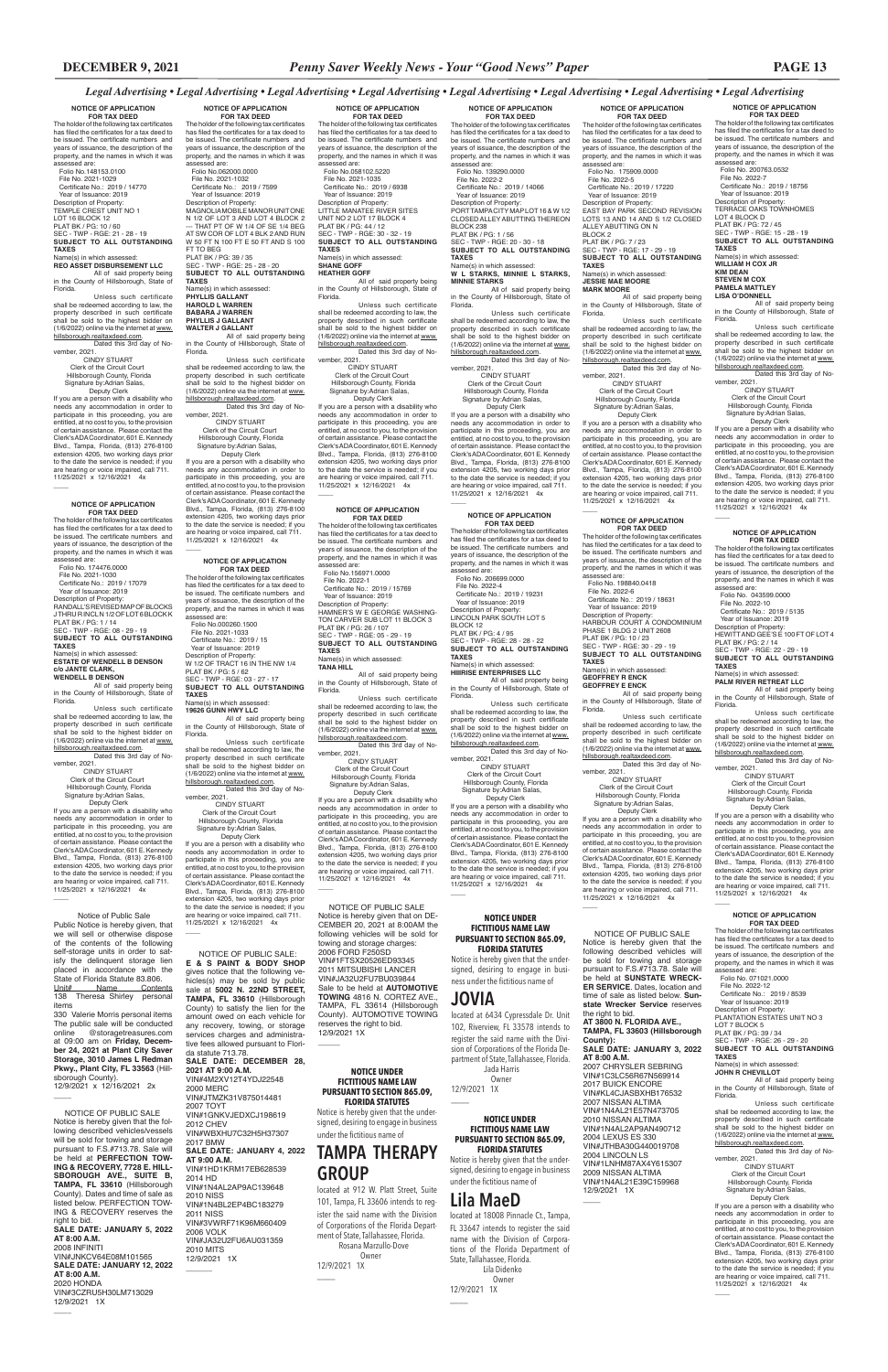**NOTICE OF APPLICATION FOR TAX DEED** The holder of the following tax certificates has filed the certificates for a tax deed to be issued. The certificate numbers and

Unless such certificate shall be redeemed according to law, the property described in such certificate shall be sold to the highest bidder on<br>(1/6/2022) online via the internet at www.

years of issuance, the description of the property, and the names in which it was assessed are: Folio No. 200763.0532 File No. 2022-7 Certificate No.: 2019 / 18756 Year of Issuance: 2019 Description of Property: TERRACE OAKS TOWNHOMES LOT 4 BLOCK D PLAT BK / PG: 72 / 45 SEC - TWP - RGE: 15 - 28 - 19 **SUBJECT TO ALL OUTSTANDING TAXES** Name(s) in which assessed: **WILLIAM H COX JR KIM DEAN STEVEN M COX PAMELA MATTLEY LISA O'DONNELL**

All of said property being in the County of Hillsborough, State of Florida.

(1/6/2022) online via the internet at www. hillsborough.realtaxdeed.com. Dated this 3rd day of No-vember, 2021.

Unless such certificate shall be redeemed according to law, the property described in such certificate shall be sold to the highest bidder on  $(1/6/2022)$  online via the internet at www.

 CINDY STUART Clerk of the Circuit Court Hillsborough County, Florida Signature by:Adrian Salas, Deputy Clerk

If you are a person with a disability who needs any accommodation in order to participate in this proceeding, you are entitled, at no cost to you, to the provision of certain assistance. Please contact the Clerk's ADA Coordinator, 601 E. Kennedy Blvd., Tampa, Florida, (813) 276-8100 extension 4205, two working days prior to the date the service is needed; if you are hearing or voice impaired, call 711. 11/25/2021 x 12/16/2021 4x

## \_\_\_\_ **NOTICE OF APPLICATION FOR TAX DEED**

**FOR TAX DEED**<br>The holder of the following tax certificates has filed the certificates for a tax deed to be issued. The certificate numbers and years of issuance, the description of the property, and the names in which it was assessed are: Folio No. 175909.0000 File No. 2022-5 Certificate No.: 2019 / 17220 Year of Issuance: 2019 Description of Property: EAST BAY PARK SECOND REVISION LOTS 13 AND 14 AND S 1/2 CLOSED ALLEY ABUTTING ON N BLOCK<sub>2</sub> PLAT BK / PG: 7 / 23 SEC - TWP - RGE: 17 - 29 - 19 **SUBJECT TO ALL OUTSTANDING TAXES** Name(s) in which assessed: **JESSIE MAE MOORE**

The holder of the following tax certificates has filed the certificates for a tax deed to be issued. The certificate numbers and years of issuance, the description of the property, and the names in which it was assessed are: Folio No. 198840.0418 File No. 2022-6 Certificate No.: 2019 / 18631 Year of Issuance: 2019 Description of Property: HARBOUR COURT A CONDOMINIUM PHASE 1 BLDG 2 UNIT 2608 PLAT BK / PG: 10 / 23 SEC - TWP - RGE: 30 - 29 - 19 **SUBJECT TO ALL OUTSTANDING TAXES** Name(s) in which assessed:

#### **GEOFFREY R ENCK GEOFFREY E ENCK**

All of said property being in the County of Hillsborough, State of Florida.

**FOR TAX DEED**<br>The holder of the following tax certificates has filed the certificates for a tax deed to be issued. The certificate numbers and years of issuance, the description of the property, and the names in which it was assessed are: Folio No. 206699.0000 File No. 2022-4 Certificate No.: 2019 / 19231 Year of Issuance: 2019 Description of Property: LINCOLN PARK SOUTH LOT 5 BLOCK 12 PLAT BK / PG: 4 / 95 SEC - TWP - RGE: 28 - 28 - 22 **SUBJECT TO ALL OUTSTANDING TAXES** Name(s) in which assessed:

> hillsborough.realtaxdeed.com. Dated this 3rd day of No-vember, 2021. CINDY STUART Clerk of the Circuit Court Hillsborough County, Florida

 Signature by:Adrian Salas, Deputy Clerk

If you are a person with a disability who needs any accommodation in order to participate in this proceeding, you are entitled, at no cost to you, to the provision of certain assistance. Please contact the Clerk's ADA Coordinator, 601 E. Kennedy Blvd., Tampa, Florida, (813) 276-8100 extension 4205, two working days prior to the date the service is needed; if you are hearing or voice impaired, call 711. 11/25/2021 x 12/16/2021 4x

 $\overline{\phantom{a}}$ 

**NOTICE OF APPLICATION** 

If you are a person with a disability who needs any accommodation in order to participate in this proceeding, you are entitled, at no cost to you, to the provision of certain assistance. Please contact the Clerk's ADA Coordinator, 601 E. Kennedy Blvd., Tampa, Florida, (813) 276-8100 extension 4205, two working days prior to the date the service is needed; if you are hearing or voice impaired, call 711. 11/25/2021 x 12/16/2021 4x  $\overline{\phantom{a}}$ 

**MARK MOORE** All of said property being in the County of Hillsborough, State of

Florida. Unless such certificate shall be redeemed according to law, the property described in such certificate shall be sold to the highest bidder on (1/6/2022) online via the internet at <u>www.</u><br><u>hillsborough.realtaxdeed.com</u>. Dated this 3rd day of No-

vember, 2021. CINDY STUART Clerk of the Circuit Court Hillsborough County, Florida Signature by:Adrian Salas,

> CINDY STUART Clerk of the Circuit Court Hillsborough County, Florida Signature by:Adrian Salas, Deputy Clerk If you are a person with a disability who needs any accommodation in order to participate in this proceeding, you are entitled, at no cost to you, to the provision of certain assistance. Please contact the Clerk's ADA Coordinator, 601 E. Kennedy Blvd., Tampa, Florida, (813) 276-8100 extension 4205, two working days prior to the date the service is needed; if you are hearing or voice impaired, call 711. 11/25/2021 x 12/16/2021 4x  $\overline{\phantom{a}}$

 $\overline{\phantom{a}}$ 

 Deputy Clerk If you are a person with a disability who needs any accommodation in order to participate in this proceeding, you are entitled, at no cost to you, to the provision of certain assistance. Please contact the Clerk's ADA Coordinator, 601 E. Kennedy Blvd., Tampa, Florida, (813) 276-8100 extension 4205, two working days prior to the date the service is needed; if you are hearing or voice impaired, call 711. 11/25/2021 x 12/16/2021 4x

### \_\_\_\_ **NOTICE OF APPLICATION**

**FOR TAX DEED**<br>The holder of the following tax certificates<br>has filed the certificates for a tax deed to be issued. The certificate numbers and years of issuance, the description of the property, and the names in which it was assessed are: Folio No.058102.5220 File No. 2021-1035 Certificate No.: 2019 / 6938 Year of Issuance: 2019 Description of Property: LITTLE MANATEE RIVER SITES UNIT NO 2 LOT 17 BLOCK 4 PLAT BK / PG: 44 / 12 SEC - TWP - RGE: 30 - 32 - 19 **SUBJECT TO ALL OUTSTANDING TAXES** Name(s) in which assessed:

 Deputy Clerk If you are a person with a disability who needs any accommodation in order to participate in this proceeding, you are entitled, at no cost to you, to the provision of certain assistance. Please contact the Clerk's ADA Coordinator, 601 E. Kennedy Blvd., Tampa, Florida, (813) 276-8100 extension 4205, two working days prior to the date the service is needed; if you are hearing or voice impaired, call 711. 11/25/2021 x 12/16/2021 4x  $\overline{\phantom{a}}$ 

> **HIIIRISE ENTERPRISES LLC** All of said property being in the County of Hillsborough, State of Florida.

> Unless such certificate shall be redeemed according to law, the property described in such certificate shall be sold to the highest bidder on (1/6/2022) online via the internet at <u>www.</u><br><u>hillsborough.realtaxdeed.com</u>. Dated this 3rd day of No-

vember, 2021. CINDY STUART Clerk of the Circuit Court

 Hillsborough County, Florida Signature by:Adrian Salas, Deputy Clerk If you are a person with a disability who needs any accommodation in order to

needs any accommodation in order to participate in this proceeding, you are entitled, at no cost to you, to the provision of certain assistance. Please contact the Clerk's ADA Coordinator, 601 E. Kennedy Blvd., Tampa, Florida, (813) 276-8100 extension 4205, two working days prior to the date the service is needed; if you are hearing or voice impaired, call 711. 11/25/2021 x 12/16/2021 4x  $\overline{\phantom{a}}$ 

> participate in this proceeding, you are entitled, at no cost to you, to the provision of certain assistance. Please contact the Clerk's ADA Coordinator, 601 E. Kennedy Blvd., Tampa, Florida, (813) 276-8100 extension 4205, two working days prior to the date the service is needed; if you are hearing or voice impaired, call 711. 11/25/2021 x 12/16/2021 4x

**NOTICE OF APPLICATION FOR TAX DEED**<br>The holder of the following tax certificates has filed the certificates for a tax deed to be issued. The certificate numbers and years of issuance, the description of the property, and the names in which it was assessed are: Folio No. 139290.0000 File No. 2022-2 Certificate No.: 2019 / 14066 Year of Issuance: 2019 Description of Property: PORT TAMPA CITY MAP LOT 16 & W 1/2 CLOSED ALLEY ABUTTING THEREON BLOCK 238 PLAT BK / PG: 1 / 56 SEC - TWP - RGE: 20 - 30 - 18 **SUBJECT TO ALL OUTSTANDING TAXES**  $Name(s)$  in which as **W L STARKS, MINNIE L STARKS, MINNIE STARKS** All of said property being in the County of Hillsborough, State of Florida. Unless such certificate

vember, 2021. CINDY STUART Clerk of the Circuit Court Hillsborough County, Florida Signature by:Adrian Salas,<br>Deputy Clerk

shall be redeemed according to law, the

property described in such certificate shall be sold to the highest bidder on (1/6/2022) online via the internet at www. hillsborough.realtaxdeed.com. Dated this 3rd day of November, 2021.

 CINDY STUART Clerk of the Circuit Court Hillsborough County, Florida Signature by:Adrian Salas, Deputy Clerk

#### **NOTICE OF APPLICATION FOR TAX DEED**

 $\overline{\phantom{a}}$ 

The holder of the following tax certificates has filed the certificates for a tax deed to be issued. The certificate numbers and years of issuance, the description of the property, and the names in which it was assessed are:

 Folio No. 071021.0000 File No. 2022-12 Certificate No.: 2019 / 8539

 Deputy Clerk If you are a person with a disability who needs any accommodation in order to participate in this proceeding, you are entitled, at no cost to you, to the provision of certain assistance. Please contact the Clerk's ADA Coordinator, 601 E. Kennedy Blvd., Tampa, Florida, (813) 276-8100 extension 4205, two working days prior to the date the service is needed; if you are hearing or voice impaired, call 711. 11/25/2021 x 12/16/2021 4x  $\overline{\phantom{a}}$ 

> Year of Issuance: 2019 Description of Property: PLANTATION ESTATES UNIT NO 3 LOT 7 BLOCK 5 PLAT BK / PG: 39 / 34 SEC - TWP - RGE: 26 - 29 - 20 **SUBJECT TO ALL OUTSTANDING TAXES**

in the County of Hillsborough, State of Florida.

The holder of the following tax certificates has filed the certificates for a tax deed to be issued. The certificate numbers and years of issuance, the description of the property, and the names in which it was<br>assessed are:

> Unless such certificate shall be redeemed according to law, the property described in such certificate shall be sold to the highest bidder on (1/6/2022) online via the internet at www.

hillsborough.realtaxdeed.com. Dated this 3rd day of No-vember, 2021.

#### hillsborough.realtaxdeed.com. Dated this 3rd day of No-

Signature by:Adrian Salas. Deputy Clerk If you are a person with a disability who

## **NOTICE OF APPLICATION**

**FOR TAX DEED**<br>The holder of the following tax certificates has filed the certificates for a tax deed to be issued. The certificate numbers and years of issuance, the description of the property, and the names in which it was assessed are: Folio No. 043599.0000 File No. 2022-10 Certificate No.: 2019 / 5135 Year of Issuance: 2019 Description of Property: HEWITT AND GEE'S E 100 FT OF LOT 4 PLAT BK / PG: 2 / 14 SEC - TWP - RGE: 22 - 29 - 19 **SUBJECT TO ALL OUTSTANDING TAXES** Name(s) in which assessed **PALM RIVER RETREAT LLC** All of said property being in the County of Hillsborough, State of Florida. Unless such certificate shall be redeemed according to law, the

### **SHANE GOFF HEATHER GOFF**

All of said property being in the County of Hillsborough, State of Florida.

Unless such certificate shall be redeemed according to law, the property described in such certificate shall be sold to the highest bidder on (1/6/2022) online via the internet at www. hillsborough.realtaxdeed.com. Dated this 3rd day of No-

vember, 2021. CINDY STUART Clerk of the Circuit Court Hillsborough County, Florida Signature by:Adrian Salas,

**NOTICE OF APPLICATION FOR TAX DEED**<br>The holder of the following tax certificates<br>has filed the certificates for a tax deed to be issued. The certificate numbers and years of issuance, the description of the property, and the names in which it was assessed are: Folio No.062000.0000 File No. 2021-1032 Certificate No.: 2019 / 7599 Year of Issuance: 2019 Description of Property: MAGNOLIA MOBILE MANOR UNIT ONE N 1/2 OF LOT 3 AND LOT 4 BLOCK 2 --- THAT PT OF W 1/4 OF SE 1/4 BEG AT SW COR OF LOT 4 BLK 2 AND RUN W 50 FT N 100 FT E 50 FT AND S 100 FT TO BEG PLAT BK / PG: 39 / 35 SEC - TWP - RGE: 25 - 28 - 20 **SUBJECT TO ALL OUTSTANDING TAXES** Name(s) in which assessed: **PHYLLIS GALLANT**

> located at 912 W. Platt Street, Suite 101, Tampa, FL 33606 intends to register the said name with the Division of Corporations of the Florida Department of State, Tallahassee, Florida. Rosana Marzullo-Dove Owner 12/9/2021 1X  $\overline{\phantom{a}}$

**HAROLD L WARREN BABARA J WARREN PHYLLIS J GALLANT WALTER J GALLANT**

All of said property being in the County of Hillsborough, State of Florida.

Unless such certificate shall be redeemed according to law, the property described in such certificate shall be sold to the highest bidder on (1/6/2022) online via the internet at www.

hillsborough.realtaxdeed.com. Dated this 3rd day of No-vember, 2021. CINDY STUART Clerk of the Circuit Court Hillsborough County, Florida

> **AT 8:00 A.M.** 2007 CHRYSLER SEBRING VIN#1C3LC56R67N569914 2017 BUICK ENCORE VIN#KL4CJASBXHB176532 2007 NISSAN ALTIMA VIN#1N4AL21E57N473705 2010 NISSAN ALTIMA VIN#1N4AL2AP9AN490712 2004 LEXUS ES 330 VIN#JTHBA30G440019708 2004 LINCOLN LS VIN#1LNHM87AX4Y615307 2009 NISSAN ALTIMA VIN#1N4AL21E39C159968 12/9/2021 1X  $\overline{\phantom{a}}$

Name(s) in which assessed:<br>**JOHN R CHEVILLOT**<br>All of said property being

 Signature by:Adrian Salas, Deputy Clerk If you are a person with a disability who

## **NOTICE OF APPLICATION FOR TAX DEED**<br>The holder of the following tax certificates<br>has filed the certificates for a tax deed to be issued. The certificate numbers and years of issuance, the description of the property, and the names in which it was assessed are: Folio No.148153.0100 File No. 2021-1029 Certificate No.: 2019 / 14770 Year of Issuance: 2019 Description of Property:

TEMPLE CREST UNIT NO 1 LOT 16 BLOCK 12 PLAT BK / PG: 10 / 60 SEC - TWP - RGE: 21 - 28 - 19 **SUBJECT TO ALL OUTSTANDING TAXES**

#### Name(s) in which assessed: **REO ASSET DISBURSEMENT LLC**

All of said property being in the County of Hillsborough, State of Florida.

Unless such certificate shall be redeemed according to law, the property described in such certificate shall be sold to the highest bidder on (1/6/2022) online via the internet at www. hillsborough.realtaxdeed.com. Dated this 3rd day of No-

 Deputy Clerk If you are a person with a disability who needs any accommodation in order to participate in this proceeding, you are entitled, at no cost to you, to the provision of certain assistance. Please contact the Clerk's ADA Coordinator, 601 E. Kennedy Blvd., Tampa, Florida, (813) 276-8100 extension 4205, two working days prior to the date the service is needed; if you are hearing or voice impaired, call 711. 11/25/2021 x 12/16/2021 4x

#### **NOTICE OF APPLICATION FOR TAX DEED**

The holder of the following tax certificates has filed the certificates for a tax deed to be issued. The certificate numbers and years of issuance, the description of the property, and the names in which it was assessed are: Folio No.156971.0000

 File No. 2022-1 Certificate No.: 2019 / 15769 Year of Issuance: 2019 Description of Property: HAMNER'S W E GEORGE WASHING-TON CARVER SUB LOT 11 BLOCK 3 PLAT BK / PG: 26 / 107 SEC - TWP - RGE: 05 - 29 - 19 **SUBJECT TO ALL OUTSTANDING TAXES** .............<br>Name(s) in which asse **TANA HILL**

All of said property being in the County of Hillsborough, State of Florida.

Unless such certificate shall be redeemed according to law, the property described in such certificate<br>shall be sold to the highest bidder on<br>(1/6/2022) online via the internet at <u>www.</u> hillsborough.realtaxdeed.com.

Dated this 3rd day of November, 2021. CINDY STUART

 Clerk of the Circuit Court Hillsborough County, Florida Signature by:Adrian Salas,

 Deputy Clerk If you are a person with a disability who needs any accommodation in order to participate in this proceeding, you are entitled, at no cost to you, to the provision of certain assistance. Please contact the Clerk's ADA Coordinator, 601 E. Kennedy Blvd., Tampa, Florida, (813) 276-8100 extension 4205, two working days prior to the date the service is needed; if you are hearing or voice impaired, call 711.

11/25/2021 x 12/16/2021 4x

 $\overline{\phantom{a}}$ 

 $\overline{\phantom{a}}$ 

#### **NOTICE OF APPLICATION FOR TAX DEED**

The holder of the following tax certificates has filed the certificates for a tax deed to be issued. The certificate numbers and years of issuance, the description of the property, and the names in which it was assessed are:<br>Folio No 000260 1500 Folio No.000260.1500 File No. 2021-1033 Certificate No.: 2019 / 15 Year of Issuance: 2019 Description of Property: W 1/2 OF TRACT 16 IN THE NW 1/4 PLAT BK / PG: 5 / 62 SEC - TWP - RGE: 03 - 27 - 17 **SUBJECT TO ALL OUTSTANDING TAXES** Name(s) in which assessed:

### **19626 GUNN HWY LLC**

All of said property being in the County of Hillsborough, State of Florida.

Unless such certificate shall be redeemed according to law, the property described in such certificate shall be sold to the highest bidder on (1/6/2022) online via the internet at www. hillsborough.realtaxdeed.com. Dated this 3rd day of November, 2021.

 CINDY STUART Clerk of the Circuit Court Hillsborough County, Florida Signature by:Adrian Salas,

#### **NOTICE OF APPLICATION FOR TAX DEED**

assessed are: Folio No. 174476.0000

 $\overline{\phantom{a}}$ 

File No. 2021-1030 Certificate No.: 2019 / 17079

 Year of Issuance: 2019 Description of Property: RANDALL'S REVISED MAP OF BLOCKS J THRU R INCL N 1/2 OF LOT 6 BLOCK K PLAT BK / PG: 1 / 14 SEC - TWP - RGE: 08 - 29 - 19 **SUBJECT TO ALL OUTSTANDING TAXES** Name(s) in which assessed: **ESTATE OF WENDELL B DENSON c/o JANTE CLARK, WENDELL B DENSON**

## All of said property being in the County of Hillsborough, State of

Florida. Unless such certificate shall be redeemed according to law, the property described in such certificate shall be sold to the highest bidder on (1/6/2022) online via the internet at www.

vember, 2021. CINDY STUART Clerk of the Circuit Court Hillsborough County, Florida

 $\overline{\phantom{a}}$ 

 $\overline{\phantom{a}}$ 

needs any accommodation in order to participate in this proceeding, you are entitled, at no cost to you, to the provision of certain assistance. Please contact the Clerk's ADA Coordinator, 601 E. Kennedy Blvd., Tampa, Florida, (813) 276-8100 extension 4205, two working days prior to the date the service is needed; if you are hearing or voice impaired, call 711. 11/25/2021 x 12/16/2021 4x

## **NOTICE OF APPLICATION**

### property described in such certificate shall be sold to the highest bidder on (1/6/2022) online via the internet at www. hillsborough.realtaxdeed.com. Dated this 3rd day of November, 2021.

 CINDY STUART Clerk of the Circuit Court Hillsborough County, Florida Signature by:Adrian Salas, Deputy Clerk

If you are a person with a disability who needs any accommodation in order to participate in this proceeding, you are entitled, at no cost to you, to the provision of certain assistance. Please contact the Clerk's ADA Coordinator, 601 E. Kennedy Blvd., Tampa, Florida, (813) 276-8100 extension 4205, two working days prior to the date the service is needed; if you are hearing or voice impaired, call 711. 11/25/2021 x 12/16/2021 4x

 Notice of Public Sale Public Notice is hereby given, that we will sell or otherwise dispose of the contents of the following self-storage units in order to satisfy the delinquent storage lien placed in accordance with the State of Florida Statute 83.806. Unit# Name Contents

138 Theresa Shirley personal items

330 Valerie Morris personal items The public sale will be conducted<br>online @storagetreasures.com @storagetreasures.com at 09:00 am on **Friday, December 24, 2021 at Plant City Saver Storage, 3010 James L Redman Pkwy., Plant City, FL 33563** (Hillsborough County). 12/9/2021 x 12/16/2021 2x

 NOTICE OF PUBLIC SALE: **E & S PAINT & BODY SHOP**  gives notice that the following vehicles(s) may be sold by public sale at **5002 N. 22ND STREET, TAMPA, FL 33610** (Hillsborough County) to satisfy the lien for the amount owed on each vehicle for any recovery, towing, or storage services charges and administrative fees allowed pursuant to Florida statute 713.78. **SALE DATE: DECEMBER 28, 2021 AT 9:00 A.M.** VIN#4M2XV12T4YDJ22548 2000 MERC VIN#JTMZK31V875014481 2007 TOYT VIN#1GNKVJEDXCJ198619 2012 CHEV VIN#WBXHU7C32H5H37307 2017 BMW **SALE DATE: JANUARY 4, 2022 AT 9:00 A.M.** VIN#1HD1KRM17EB628539 2014 HD VIN#1N4AL2AP9AC139648 2010 NISS VIN#1N4BL2EP4BC183279 2011 NISS VIN#3VWRF71K96M660409 2006 VOLK VIN#JA32U2FU6AU031359 2010 MITS 12/9/2021 1X

 $\overline{\phantom{a}}$ 

 NOTICE OF PUBLIC SALE Notice is hereby given that the following described vehicles/vessels will be sold for towing and storage pursuant to F.S.#713.78. Sale will be held at **PERFECTION TOW-ING & RECOVERY, 7728 E. HILL-SBOROUGH AVE., SUITE B, TAMPA, FL 33610** (Hillsborough County). Dates and time of sale as listed below. PERFECTION TOW-ING & RECOVERY reserves the right to bid. **SALE DATE: JANUARY 5, 2022 AT 8:00 A.M.** 2008 INFINITI VIN#JNKCV64E08M101565 **SALE DATE: JANUARY 12, 2022 AT 8:00 A.M.** 2020 HONDA

VIN#3CZRU5H30LM713029 12/9/2021 1X

## **NOTICE UNDER FICTITIOUS NAME LAW**

#### **PURSUANT TO SECTION 865.09, FLORIDA STATUTES** Notice is hereby given that the under-

signed, desiring to engage in busi-

ness under the fictitious name of **JOVIA**

 $\overline{\phantom{a}}$ 

located at 6434 Cypressdale Dr. Unit 102, Riverview, FL 33578 intends to register the said name with the Division of Corporations of the Florida Department of State, Tallahassee, Florida. Jada Harris

 Owner 12/9/2021 1X \_\_\_\_

**NOTICE UNDER FICTITIOUS NAME LAW PURSUANT TO SECTION 865.09, FLORIDA STATUTES**

Notice is hereby given that the undersigned, desiring to engage in business under the fictitious name of

# **Lila MaeD**

 $\overline{\phantom{a}}$ 

located at 18008 Pinnacle Ct., Tampa, FL 33647 intends to register the said name with the Division of Corporations of the Florida Department of State, Tallahassee, Florida. Lila Didenko Owner 12/9/2021 1X

**NOTICE UNDER FICTITIOUS NAME LAW PURSUANT TO SECTION 865.09, FLORIDA STATUTES**

Notice is hereby given that the undersigned, desiring to engage in business under the fictitious name of

## **TAMPA THERAPY GROUP**

 NOTICE OF PUBLIC SALE Notice is hereby given that on DE-CEMBER 20, 2021 at 8:00AM the following vehicles will be sold for towing and storage charges: 2006 FORD F250SD VIN#1FTSX20526ED93345 2011 MITSUBISHI LANCER VIN#JA32U2FU7BU039844 Sale to be held at **AUTOMOTIVE TOWING** 4816 N. CORTEZ AVE., TAMPA, FL 33614 (Hillsborough County). AUTOMOTIVE TOWING reserves the right to bid. 12/9/2021 1X

NOTICE OF PUBLIC SALE Notice is hereby given that the following described vehicles will be sold for towing and storage pursuant to F.S.#713.78. Sale will be held at **SUNSTATE WRECK-ER SERVICE**. Dates, location and time of sale as listed below. **Sun**state Wrecker Service res the right to bid. **AT 3800 N. FLORIDA AVE., TAMPA, FL 33603 (Hillsborough County): SALE DATE: JANUARY 3, 2022**